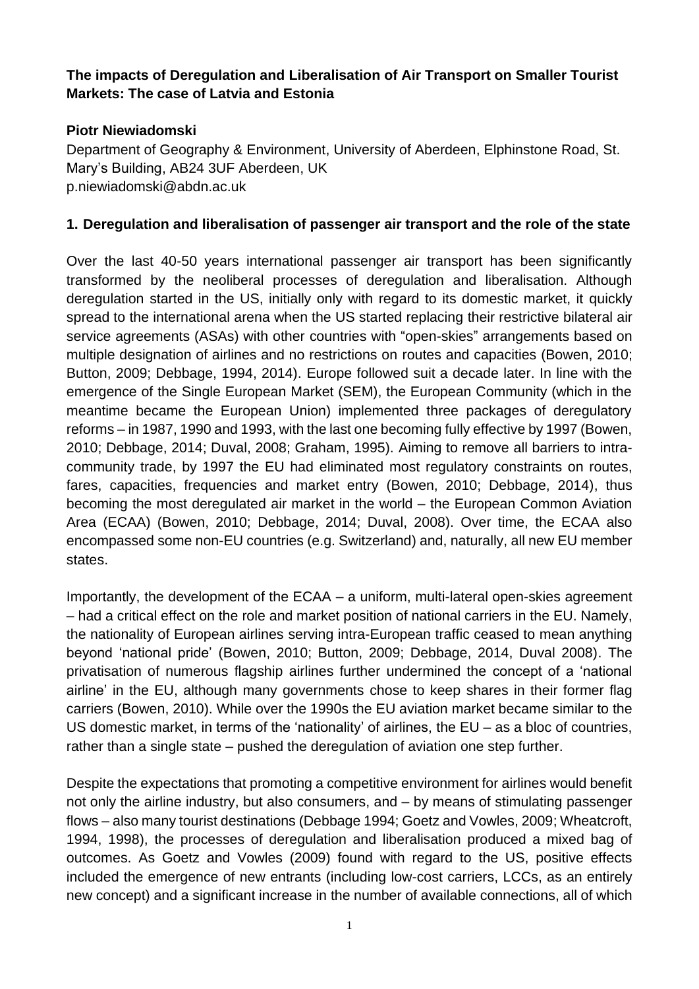#### **The impacts of Deregulation and Liberalisation of Air Transport on Smaller Tourist Markets: The case of Latvia and Estonia**

#### **Piotr Niewiadomski**

Department of Geography & Environment, University of Aberdeen, Elphinstone Road, St. Mary's Building, AB24 3UF Aberdeen, UK p.niewiadomski@abdn.ac.uk

#### **1. Deregulation and liberalisation of passenger air transport and the role of the state**

Over the last 40-50 years international passenger air transport has been significantly transformed by the neoliberal processes of deregulation and liberalisation. Although deregulation started in the US, initially only with regard to its domestic market, it quickly spread to the international arena when the US started replacing their restrictive bilateral air service agreements (ASAs) with other countries with "open-skies" arrangements based on multiple designation of airlines and no restrictions on routes and capacities (Bowen, 2010; Button, 2009; Debbage, 1994, 2014). Europe followed suit a decade later. In line with the emergence of the Single European Market (SEM), the European Community (which in the meantime became the European Union) implemented three packages of deregulatory reforms – in 1987, 1990 and 1993, with the last one becoming fully effective by 1997 (Bowen, 2010; Debbage, 2014; Duval, 2008; Graham, 1995). Aiming to remove all barriers to intracommunity trade, by 1997 the EU had eliminated most regulatory constraints on routes, fares, capacities, frequencies and market entry (Bowen, 2010; Debbage, 2014), thus becoming the most deregulated air market in the world – the European Common Aviation Area (ECAA) (Bowen, 2010; Debbage, 2014; Duval, 2008). Over time, the ECAA also encompassed some non-EU countries (e.g. Switzerland) and, naturally, all new EU member states.

Importantly, the development of the ECAA – a uniform, multi-lateral open-skies agreement – had a critical effect on the role and market position of national carriers in the EU. Namely, the nationality of European airlines serving intra-European traffic ceased to mean anything beyond 'national pride' (Bowen, 2010; Button, 2009; Debbage, 2014, Duval 2008). The privatisation of numerous flagship airlines further undermined the concept of a 'national airline' in the EU, although many governments chose to keep shares in their former flag carriers (Bowen, 2010). While over the 1990s the EU aviation market became similar to the US domestic market, in terms of the 'nationality' of airlines, the EU – as a bloc of countries, rather than a single state – pushed the deregulation of aviation one step further.

Despite the expectations that promoting a competitive environment for airlines would benefit not only the airline industry, but also consumers, and – by means of stimulating passenger flows – also many tourist destinations (Debbage 1994; Goetz and Vowles, 2009; Wheatcroft, 1994, 1998), the processes of deregulation and liberalisation produced a mixed bag of outcomes. As Goetz and Vowles (2009) found with regard to the US, positive effects included the emergence of new entrants (including low-cost carriers, LCCs, as an entirely new concept) and a significant increase in the number of available connections, all of which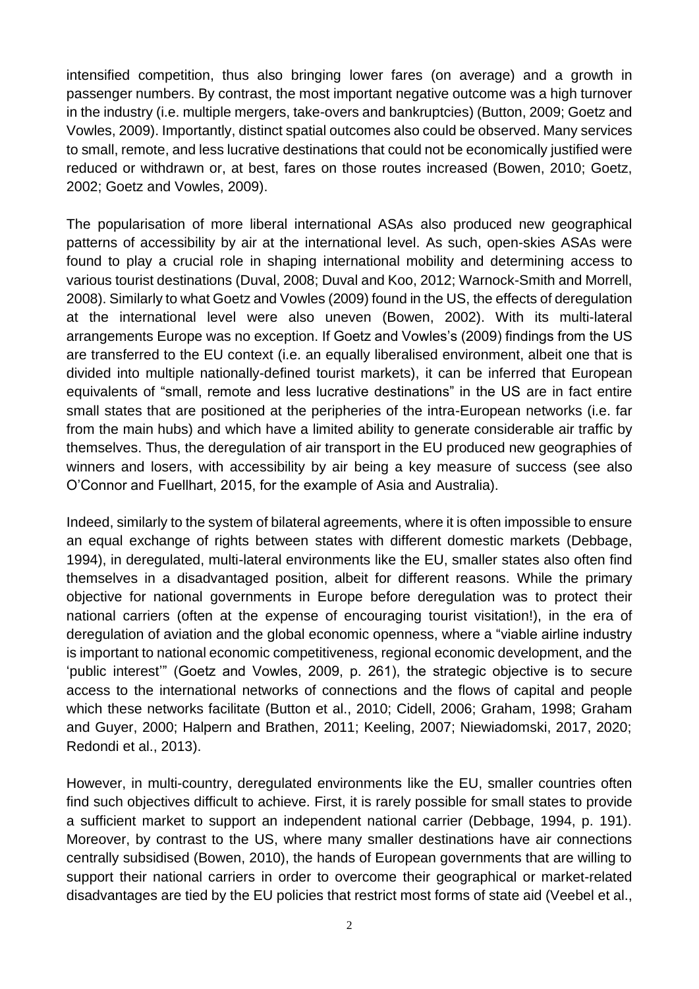intensified competition, thus also bringing lower fares (on average) and a growth in passenger numbers. By contrast, the most important negative outcome was a high turnover in the industry (i.e. multiple mergers, take-overs and bankruptcies) (Button, 2009; Goetz and Vowles, 2009). Importantly, distinct spatial outcomes also could be observed. Many services to small, remote, and less lucrative destinations that could not be economically justified were reduced or withdrawn or, at best, fares on those routes increased (Bowen, 2010; Goetz, 2002; Goetz and Vowles, 2009).

The popularisation of more liberal international ASAs also produced new geographical patterns of accessibility by air at the international level. As such, open-skies ASAs were found to play a crucial role in shaping international mobility and determining access to various tourist destinations (Duval, 2008; Duval and Koo, 2012; Warnock-Smith and Morrell, 2008). Similarly to what Goetz and Vowles (2009) found in the US, the effects of deregulation at the international level were also uneven (Bowen, 2002). With its multi-lateral arrangements Europe was no exception. If Goetz and Vowles's (2009) findings from the US are transferred to the EU context (i.e. an equally liberalised environment, albeit one that is divided into multiple nationally-defined tourist markets), it can be inferred that European equivalents of "small, remote and less lucrative destinations" in the US are in fact entire small states that are positioned at the peripheries of the intra-European networks (i.e. far from the main hubs) and which have a limited ability to generate considerable air traffic by themselves. Thus, the deregulation of air transport in the EU produced new geographies of winners and losers, with accessibility by air being a key measure of success (see also O'Connor and Fuellhart, 2015, for the example of Asia and Australia).

Indeed, similarly to the system of bilateral agreements, where it is often impossible to ensure an equal exchange of rights between states with different domestic markets (Debbage, 1994), in deregulated, multi-lateral environments like the EU, smaller states also often find themselves in a disadvantaged position, albeit for different reasons. While the primary objective for national governments in Europe before deregulation was to protect their national carriers (often at the expense of encouraging tourist visitation!), in the era of deregulation of aviation and the global economic openness, where a "viable airline industry is important to national economic competitiveness, regional economic development, and the 'public interest'" (Goetz and Vowles, 2009, p. 261), the strategic objective is to secure access to the international networks of connections and the flows of capital and people which these networks facilitate (Button et al., 2010; Cidell, 2006; Graham, 1998; Graham and Guyer, 2000; Halpern and Brathen, 2011; Keeling, 2007; Niewiadomski, 2017, 2020; Redondi et al., 2013).

However, in multi-country, deregulated environments like the EU, smaller countries often find such objectives difficult to achieve. First, it is rarely possible for small states to provide a sufficient market to support an independent national carrier (Debbage, 1994, p. 191). Moreover, by contrast to the US, where many smaller destinations have air connections centrally subsidised (Bowen, 2010), the hands of European governments that are willing to support their national carriers in order to overcome their geographical or market-related disadvantages are tied by the EU policies that restrict most forms of state aid (Veebel et al.,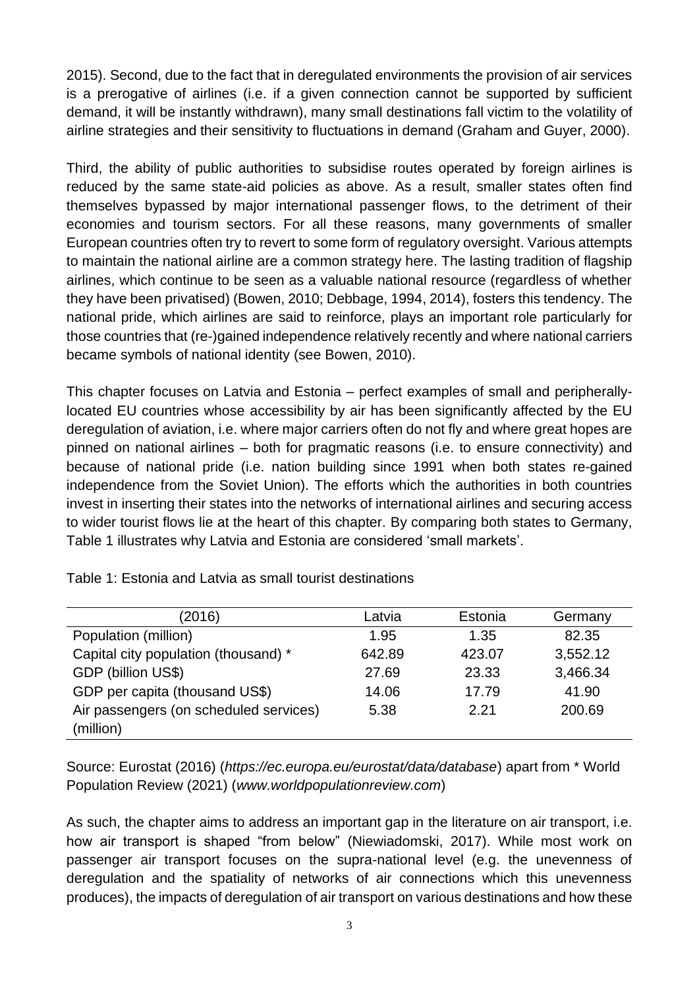2015). Second, due to the fact that in deregulated environments the provision of air services is a prerogative of airlines (i.e. if a given connection cannot be supported by sufficient demand, it will be instantly withdrawn), many small destinations fall victim to the volatility of airline strategies and their sensitivity to fluctuations in demand (Graham and Guyer, 2000).

Third, the ability of public authorities to subsidise routes operated by foreign airlines is reduced by the same state-aid policies as above. As a result, smaller states often find themselves bypassed by major international passenger flows, to the detriment of their economies and tourism sectors. For all these reasons, many governments of smaller European countries often try to revert to some form of regulatory oversight. Various attempts to maintain the national airline are a common strategy here. The lasting tradition of flagship airlines, which continue to be seen as a valuable national resource (regardless of whether they have been privatised) (Bowen, 2010; Debbage, 1994, 2014), fosters this tendency. The national pride, which airlines are said to reinforce, plays an important role particularly for those countries that (re-)gained independence relatively recently and where national carriers became symbols of national identity (see Bowen, 2010).

This chapter focuses on Latvia and Estonia – perfect examples of small and peripherallylocated EU countries whose accessibility by air has been significantly affected by the EU deregulation of aviation, i.e. where major carriers often do not fly and where great hopes are pinned on national airlines – both for pragmatic reasons (i.e. to ensure connectivity) and because of national pride (i.e. nation building since 1991 when both states re-gained independence from the Soviet Union). The efforts which the authorities in both countries invest in inserting their states into the networks of international airlines and securing access to wider tourist flows lie at the heart of this chapter. By comparing both states to Germany, Table 1 illustrates why Latvia and Estonia are considered 'small markets'.

| (2016)                                 | Latvia | Estonia | Germany  |
|----------------------------------------|--------|---------|----------|
| Population (million)                   | 1.95   | 1.35    | 82.35    |
| Capital city population (thousand) *   | 642.89 | 423.07  | 3,552.12 |
| GDP (billion US\$)                     | 27.69  | 23.33   | 3,466.34 |
| GDP per capita (thousand US\$)         | 14.06  | 17.79   | 41.90    |
| Air passengers (on scheduled services) | 5.38   | 221     | 200.69   |
| (million)                              |        |         |          |

Table 1: Estonia and Latvia as small tourist destinations

Source: Eurostat (2016) (*https://ec.europa.eu/eurostat/data/database*) apart from \* World Population Review (2021) (*www.worldpopulationreview.com*)

As such, the chapter aims to address an important gap in the literature on air transport, i.e. how air transport is shaped "from below" (Niewiadomski, 2017). While most work on passenger air transport focuses on the supra-national level (e.g. the unevenness of deregulation and the spatiality of networks of air connections which this unevenness produces), the impacts of deregulation of air transport on various destinations and how these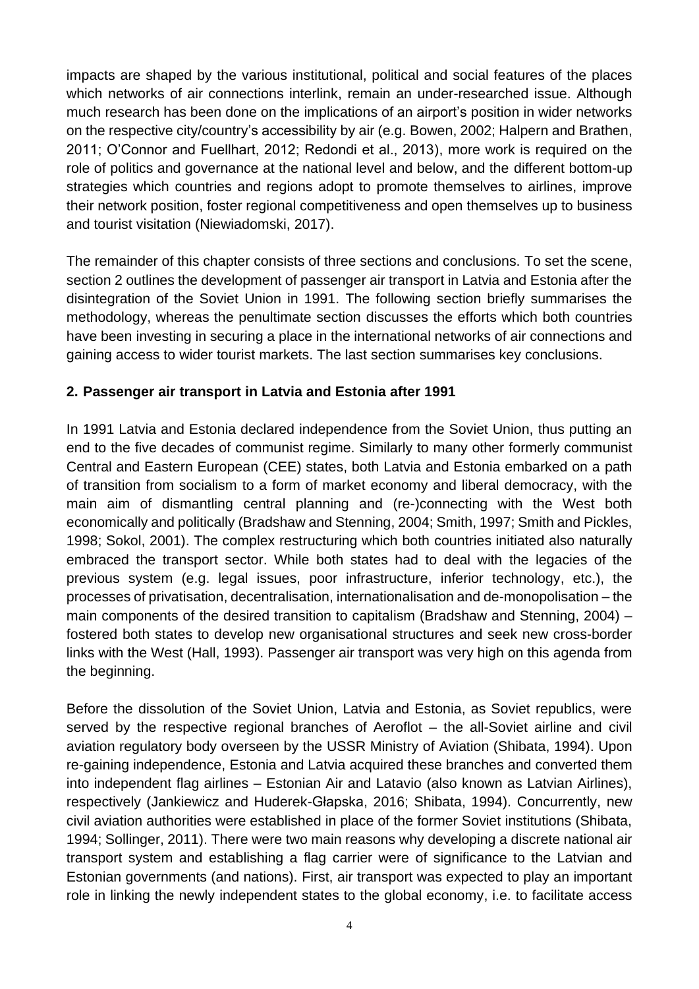impacts are shaped by the various institutional, political and social features of the places which networks of air connections interlink, remain an under-researched issue. Although much research has been done on the implications of an airport's position in wider networks on the respective city/country's accessibility by air (e.g. Bowen, 2002; Halpern and Brathen, 2011; O'Connor and Fuellhart, 2012; Redondi et al., 2013), more work is required on the role of politics and governance at the national level and below, and the different bottom-up strategies which countries and regions adopt to promote themselves to airlines, improve their network position, foster regional competitiveness and open themselves up to business and tourist visitation (Niewiadomski, 2017).

The remainder of this chapter consists of three sections and conclusions. To set the scene, section 2 outlines the development of passenger air transport in Latvia and Estonia after the disintegration of the Soviet Union in 1991. The following section briefly summarises the methodology, whereas the penultimate section discusses the efforts which both countries have been investing in securing a place in the international networks of air connections and gaining access to wider tourist markets. The last section summarises key conclusions.

### **2. Passenger air transport in Latvia and Estonia after 1991**

In 1991 Latvia and Estonia declared independence from the Soviet Union, thus putting an end to the five decades of communist regime. Similarly to many other formerly communist Central and Eastern European (CEE) states, both Latvia and Estonia embarked on a path of transition from socialism to a form of market economy and liberal democracy, with the main aim of dismantling central planning and (re-)connecting with the West both economically and politically (Bradshaw and Stenning, 2004; Smith, 1997; Smith and Pickles, 1998; Sokol, 2001). The complex restructuring which both countries initiated also naturally embraced the transport sector. While both states had to deal with the legacies of the previous system (e.g. legal issues, poor infrastructure, inferior technology, etc.), the processes of privatisation, decentralisation, internationalisation and de-monopolisation – the main components of the desired transition to capitalism (Bradshaw and Stenning, 2004) – fostered both states to develop new organisational structures and seek new cross-border links with the West (Hall, 1993). Passenger air transport was very high on this agenda from the beginning.

Before the dissolution of the Soviet Union, Latvia and Estonia, as Soviet republics, were served by the respective regional branches of Aeroflot – the all-Soviet airline and civil aviation regulatory body overseen by the USSR Ministry of Aviation (Shibata, 1994). Upon re-gaining independence, Estonia and Latvia acquired these branches and converted them into independent flag airlines – Estonian Air and Latavio (also known as Latvian Airlines), respectively (Jankiewicz and Huderek-Głapska, 2016; Shibata, 1994). Concurrently, new civil aviation authorities were established in place of the former Soviet institutions (Shibata, 1994; Sollinger, 2011). There were two main reasons why developing a discrete national air transport system and establishing a flag carrier were of significance to the Latvian and Estonian governments (and nations). First, air transport was expected to play an important role in linking the newly independent states to the global economy, i.e. to facilitate access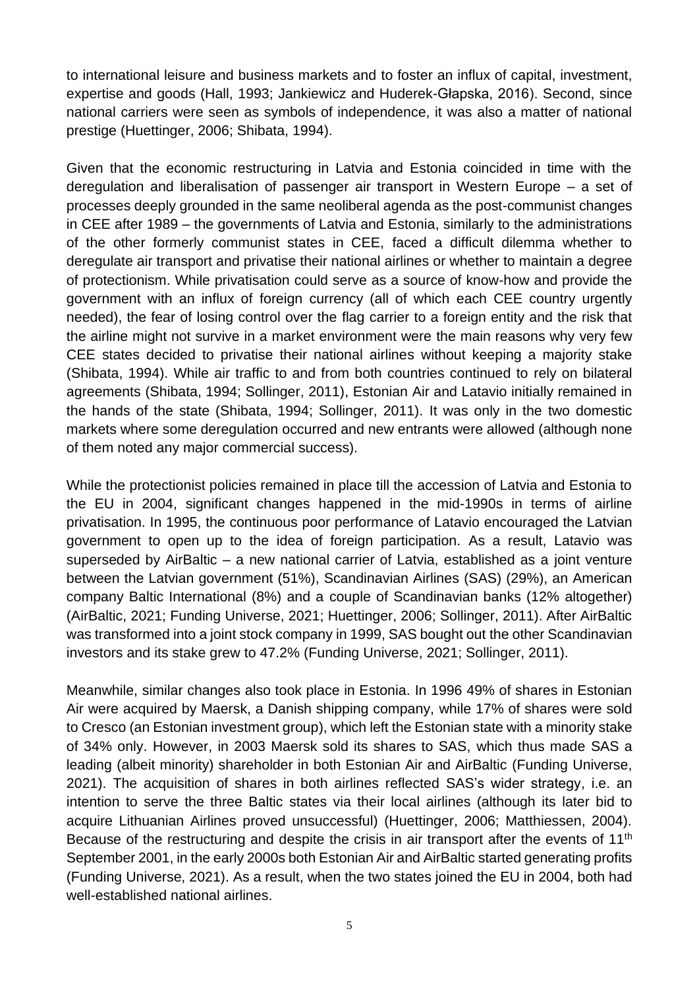to international leisure and business markets and to foster an influx of capital, investment, expertise and goods (Hall, 1993; Jankiewicz and Huderek-Głapska, 2016). Second, since national carriers were seen as symbols of independence, it was also a matter of national prestige (Huettinger, 2006; Shibata, 1994).

Given that the economic restructuring in Latvia and Estonia coincided in time with the deregulation and liberalisation of passenger air transport in Western Europe – a set of processes deeply grounded in the same neoliberal agenda as the post-communist changes in CEE after 1989 – the governments of Latvia and Estonia, similarly to the administrations of the other formerly communist states in CEE, faced a difficult dilemma whether to deregulate air transport and privatise their national airlines or whether to maintain a degree of protectionism. While privatisation could serve as a source of know-how and provide the government with an influx of foreign currency (all of which each CEE country urgently needed), the fear of losing control over the flag carrier to a foreign entity and the risk that the airline might not survive in a market environment were the main reasons why very few CEE states decided to privatise their national airlines without keeping a majority stake (Shibata, 1994). While air traffic to and from both countries continued to rely on bilateral agreements (Shibata, 1994; Sollinger, 2011), Estonian Air and Latavio initially remained in the hands of the state (Shibata, 1994; Sollinger, 2011). It was only in the two domestic markets where some deregulation occurred and new entrants were allowed (although none of them noted any major commercial success).

While the protectionist policies remained in place till the accession of Latvia and Estonia to the EU in 2004, significant changes happened in the mid-1990s in terms of airline privatisation. In 1995, the continuous poor performance of Latavio encouraged the Latvian government to open up to the idea of foreign participation. As a result, Latavio was superseded by AirBaltic – a new national carrier of Latvia, established as a joint venture between the Latvian government (51%), Scandinavian Airlines (SAS) (29%), an American company Baltic International (8%) and a couple of Scandinavian banks (12% altogether) (AirBaltic, 2021; Funding Universe, 2021; Huettinger, 2006; Sollinger, 2011). After AirBaltic was transformed into a joint stock company in 1999, SAS bought out the other Scandinavian investors and its stake grew to 47.2% (Funding Universe, 2021; Sollinger, 2011).

Meanwhile, similar changes also took place in Estonia. In 1996 49% of shares in Estonian Air were acquired by Maersk, a Danish shipping company, while 17% of shares were sold to Cresco (an Estonian investment group), which left the Estonian state with a minority stake of 34% only. However, in 2003 Maersk sold its shares to SAS, which thus made SAS a leading (albeit minority) shareholder in both Estonian Air and AirBaltic (Funding Universe, 2021). The acquisition of shares in both airlines reflected SAS's wider strategy, i.e. an intention to serve the three Baltic states via their local airlines (although its later bid to acquire Lithuanian Airlines proved unsuccessful) (Huettinger, 2006; Matthiessen, 2004). Because of the restructuring and despite the crisis in air transport after the events of 11<sup>th</sup> September 2001, in the early 2000s both Estonian Air and AirBaltic started generating profits (Funding Universe, 2021). As a result, when the two states joined the EU in 2004, both had well-established national airlines.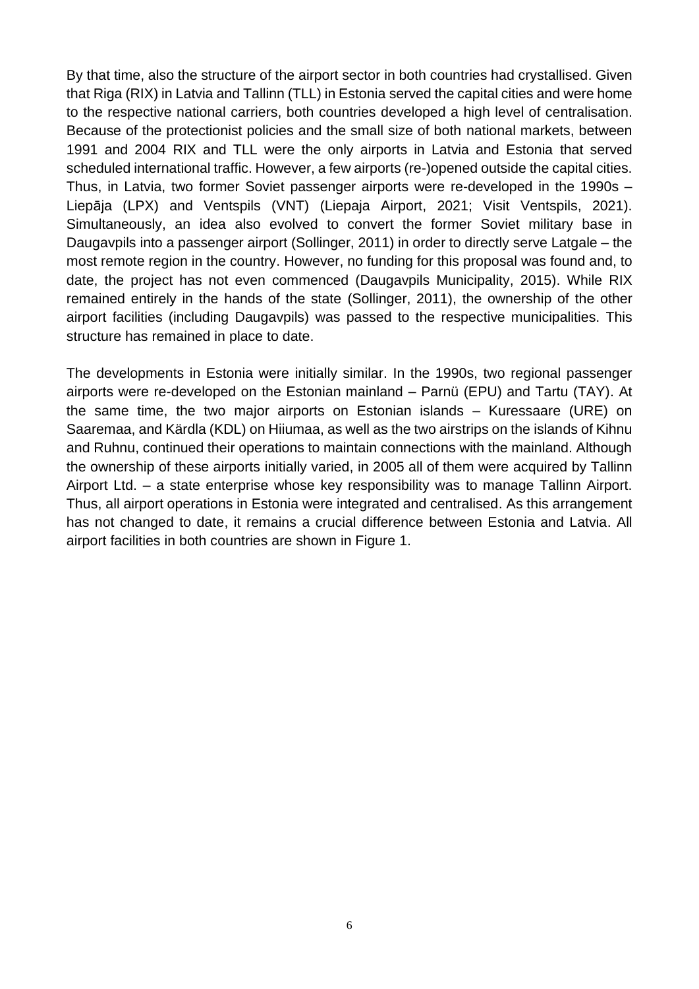By that time, also the structure of the airport sector in both countries had crystallised. Given that Riga (RIX) in Latvia and Tallinn (TLL) in Estonia served the capital cities and were home to the respective national carriers, both countries developed a high level of centralisation. Because of the protectionist policies and the small size of both national markets, between 1991 and 2004 RIX and TLL were the only airports in Latvia and Estonia that served scheduled international traffic. However, a few airports (re-)opened outside the capital cities. Thus, in Latvia, two former Soviet passenger airports were re-developed in the 1990s – Liepāja (LPX) and Ventspils (VNT) (Liepaja Airport, 2021; Visit Ventspils, 2021). Simultaneously, an idea also evolved to convert the former Soviet military base in Daugavpils into a passenger airport (Sollinger, 2011) in order to directly serve Latgale – the most remote region in the country. However, no funding for this proposal was found and, to date, the project has not even commenced (Daugavpils Municipality, 2015). While RIX remained entirely in the hands of the state (Sollinger, 2011), the ownership of the other airport facilities (including Daugavpils) was passed to the respective municipalities. This structure has remained in place to date.

The developments in Estonia were initially similar. In the 1990s, two regional passenger airports were re-developed on the Estonian mainland – Parnü (EPU) and Tartu (TAY). At the same time, the two major airports on Estonian islands – Kuressaare (URE) on Saaremaa, and Kärdla (KDL) on Hiiumaa, as well as the two airstrips on the islands of Kihnu and Ruhnu, continued their operations to maintain connections with the mainland. Although the ownership of these airports initially varied, in 2005 all of them were acquired by Tallinn Airport Ltd. – a state enterprise whose key responsibility was to manage Tallinn Airport. Thus, all airport operations in Estonia were integrated and centralised. As this arrangement has not changed to date, it remains a crucial difference between Estonia and Latvia. All airport facilities in both countries are shown in Figure 1.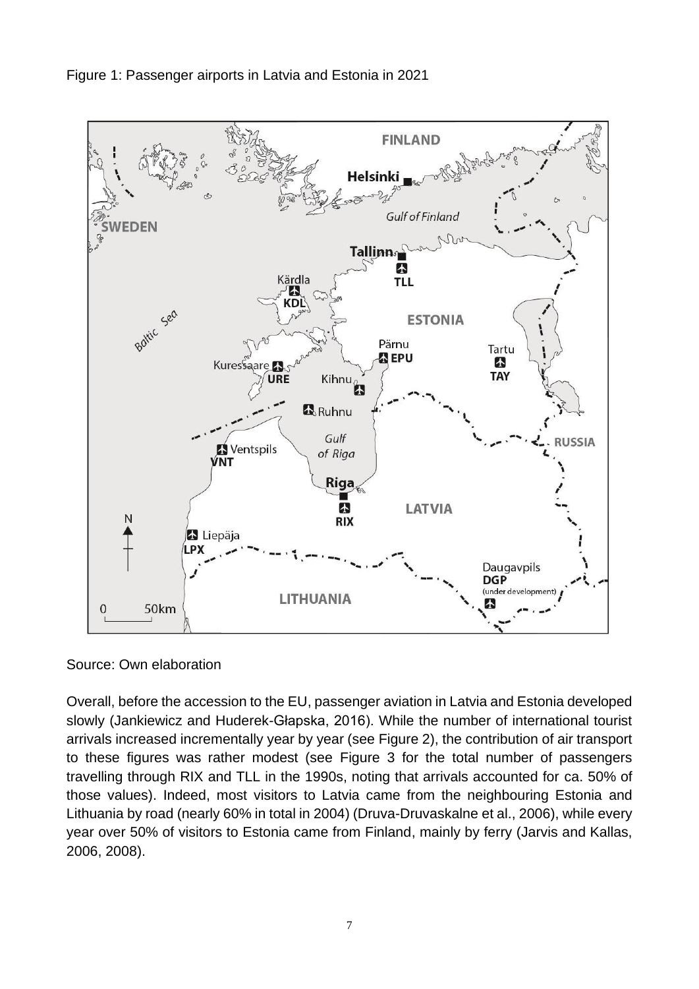



Source: Own elaboration

Overall, before the accession to the EU, passenger aviation in Latvia and Estonia developed slowly (Jankiewicz and Huderek-Głapska, 2016). While the number of international tourist arrivals increased incrementally year by year (see Figure 2), the contribution of air transport to these figures was rather modest (see Figure 3 for the total number of passengers travelling through RIX and TLL in the 1990s, noting that arrivals accounted for ca. 50% of those values). Indeed, most visitors to Latvia came from the neighbouring Estonia and Lithuania by road (nearly 60% in total in 2004) (Druva-Druvaskalne et al., 2006), while every year over 50% of visitors to Estonia came from Finland, mainly by ferry (Jarvis and Kallas, 2006, 2008).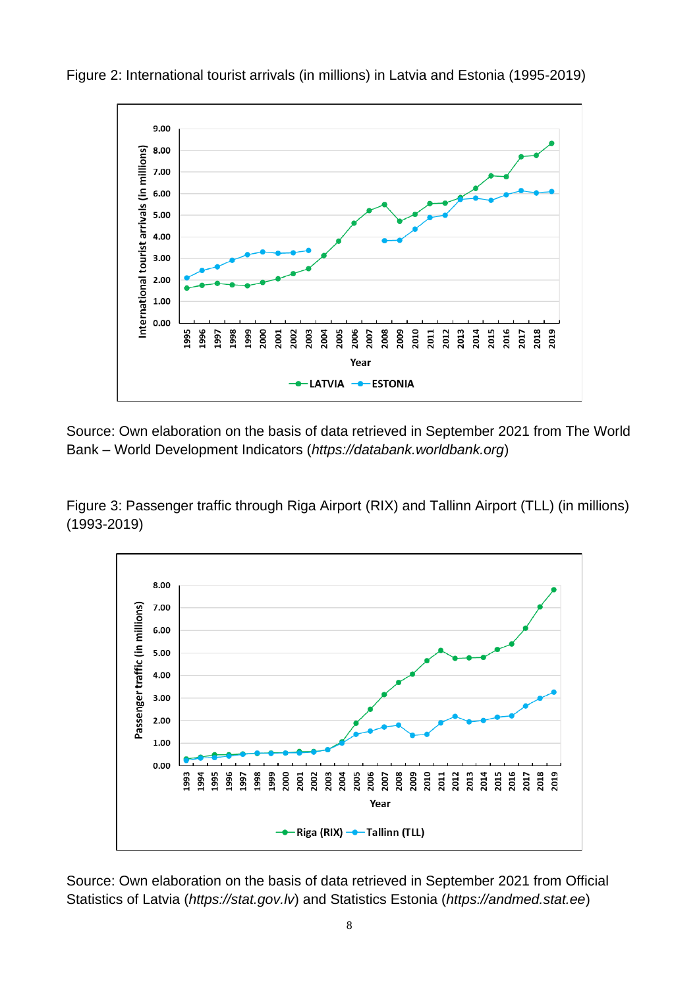

Figure 2: International tourist arrivals (in millions) in Latvia and Estonia (1995-2019)

Source: Own elaboration on the basis of data retrieved in September 2021 from The World Bank – World Development Indicators (*https://databank.worldbank.org*)

Figure 3: Passenger traffic through Riga Airport (RIX) and Tallinn Airport (TLL) (in millions) (1993-2019)



Source: Own elaboration on the basis of data retrieved in September 2021 from Official Statistics of Latvia (*https://stat.gov.lv*) and Statistics Estonia (*https://andmed.stat.ee*)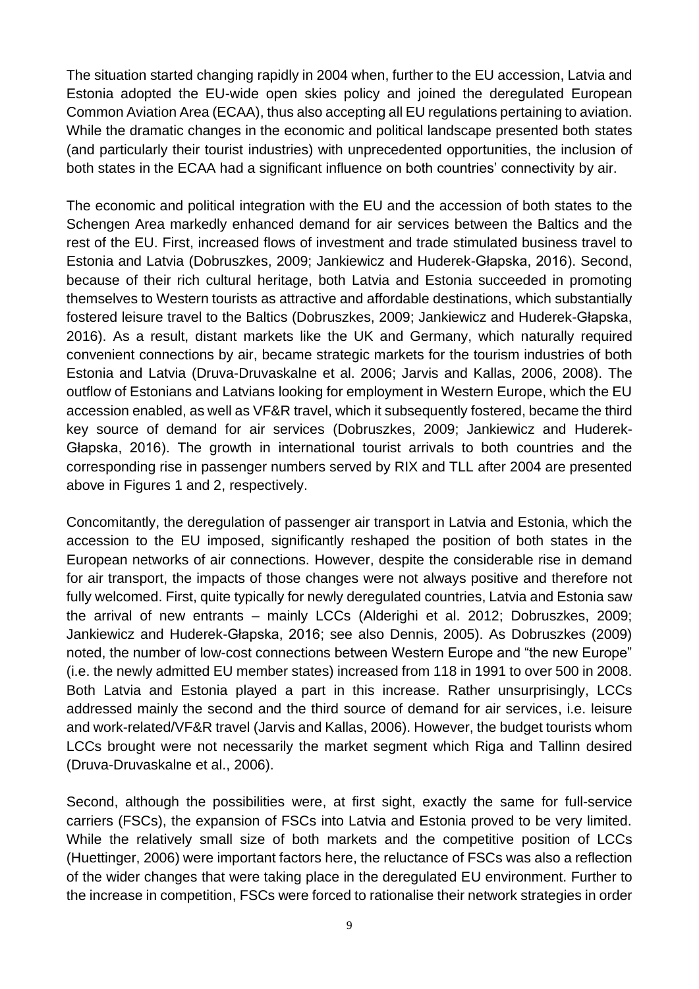The situation started changing rapidly in 2004 when, further to the EU accession, Latvia and Estonia adopted the EU-wide open skies policy and joined the deregulated European Common Aviation Area (ECAA), thus also accepting all EU regulations pertaining to aviation. While the dramatic changes in the economic and political landscape presented both states (and particularly their tourist industries) with unprecedented opportunities, the inclusion of both states in the ECAA had a significant influence on both countries' connectivity by air.

The economic and political integration with the EU and the accession of both states to the Schengen Area markedly enhanced demand for air services between the Baltics and the rest of the EU. First, increased flows of investment and trade stimulated business travel to Estonia and Latvia (Dobruszkes, 2009; Jankiewicz and Huderek-Głapska, 2016). Second, because of their rich cultural heritage, both Latvia and Estonia succeeded in promoting themselves to Western tourists as attractive and affordable destinations, which substantially fostered leisure travel to the Baltics (Dobruszkes, 2009; Jankiewicz and Huderek-Głapska, 2016). As a result, distant markets like the UK and Germany, which naturally required convenient connections by air, became strategic markets for the tourism industries of both Estonia and Latvia (Druva-Druvaskalne et al. 2006; Jarvis and Kallas, 2006, 2008). The outflow of Estonians and Latvians looking for employment in Western Europe, which the EU accession enabled, as well as VF&R travel, which it subsequently fostered, became the third key source of demand for air services (Dobruszkes, 2009; Jankiewicz and Huderek-Głapska, 2016). The growth in international tourist arrivals to both countries and the corresponding rise in passenger numbers served by RIX and TLL after 2004 are presented above in Figures 1 and 2, respectively.

Concomitantly, the deregulation of passenger air transport in Latvia and Estonia, which the accession to the EU imposed, significantly reshaped the position of both states in the European networks of air connections. However, despite the considerable rise in demand for air transport, the impacts of those changes were not always positive and therefore not fully welcomed. First, quite typically for newly deregulated countries, Latvia and Estonia saw the arrival of new entrants – mainly LCCs (Alderighi et al. 2012; Dobruszkes, 2009; Jankiewicz and Huderek-Głapska, 2016; see also Dennis, 2005). As Dobruszkes (2009) noted, the number of low-cost connections between Western Europe and "the new Europe" (i.e. the newly admitted EU member states) increased from 118 in 1991 to over 500 in 2008. Both Latvia and Estonia played a part in this increase. Rather unsurprisingly, LCCs addressed mainly the second and the third source of demand for air services, i.e. leisure and work-related/VF&R travel (Jarvis and Kallas, 2006). However, the budget tourists whom LCCs brought were not necessarily the market segment which Riga and Tallinn desired (Druva-Druvaskalne et al., 2006).

Second, although the possibilities were, at first sight, exactly the same for full-service carriers (FSCs), the expansion of FSCs into Latvia and Estonia proved to be very limited. While the relatively small size of both markets and the competitive position of LCCs (Huettinger, 2006) were important factors here, the reluctance of FSCs was also a reflection of the wider changes that were taking place in the deregulated EU environment. Further to the increase in competition, FSCs were forced to rationalise their network strategies in order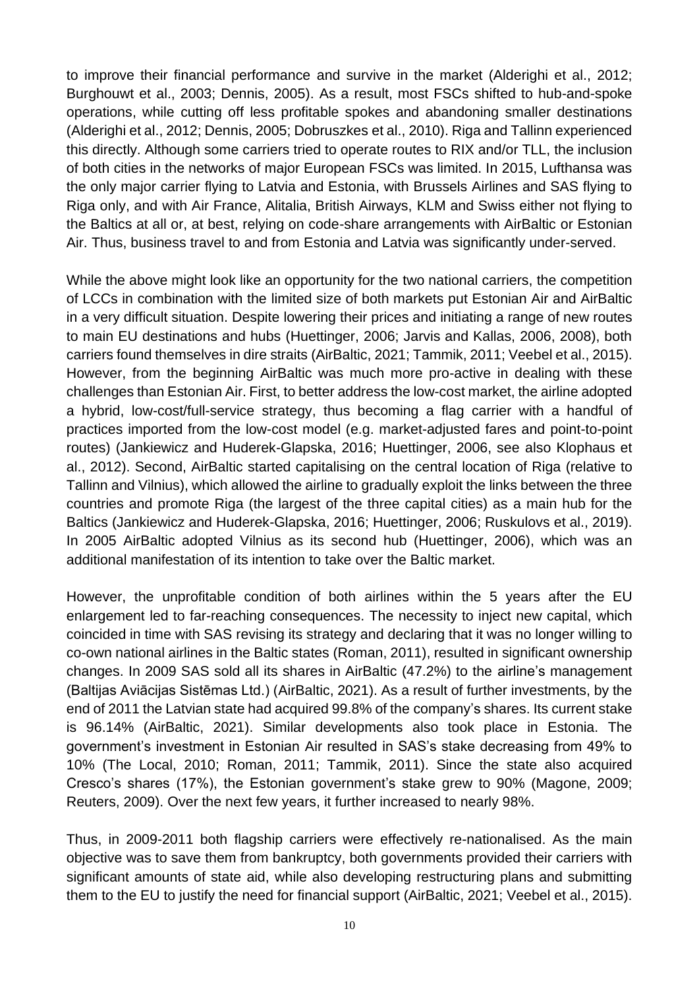to improve their financial performance and survive in the market (Alderighi et al., 2012; Burghouwt et al., 2003; Dennis, 2005). As a result, most FSCs shifted to hub-and-spoke operations, while cutting off less profitable spokes and abandoning smaller destinations (Alderighi et al., 2012; Dennis, 2005; Dobruszkes et al., 2010). Riga and Tallinn experienced this directly. Although some carriers tried to operate routes to RIX and/or TLL, the inclusion of both cities in the networks of major European FSCs was limited. In 2015, Lufthansa was the only major carrier flying to Latvia and Estonia, with Brussels Airlines and SAS flying to Riga only, and with Air France, Alitalia, British Airways, KLM and Swiss either not flying to the Baltics at all or, at best, relying on code-share arrangements with AirBaltic or Estonian Air. Thus, business travel to and from Estonia and Latvia was significantly under-served.

While the above might look like an opportunity for the two national carriers, the competition of LCCs in combination with the limited size of both markets put Estonian Air and AirBaltic in a very difficult situation. Despite lowering their prices and initiating a range of new routes to main EU destinations and hubs (Huettinger, 2006; Jarvis and Kallas, 2006, 2008), both carriers found themselves in dire straits (AirBaltic, 2021; Tammik, 2011; Veebel et al., 2015). However, from the beginning AirBaltic was much more pro-active in dealing with these challenges than Estonian Air. First, to better address the low-cost market, the airline adopted a hybrid, low-cost/full-service strategy, thus becoming a flag carrier with a handful of practices imported from the low-cost model (e.g. market-adjusted fares and point-to-point routes) (Jankiewicz and Huderek-Glapska, 2016; Huettinger, 2006, see also Klophaus et al., 2012). Second, AirBaltic started capitalising on the central location of Riga (relative to Tallinn and Vilnius), which allowed the airline to gradually exploit the links between the three countries and promote Riga (the largest of the three capital cities) as a main hub for the Baltics (Jankiewicz and Huderek-Glapska, 2016; Huettinger, 2006; Ruskulovs et al., 2019). In 2005 AirBaltic adopted Vilnius as its second hub (Huettinger, 2006), which was an additional manifestation of its intention to take over the Baltic market.

However, the unprofitable condition of both airlines within the 5 years after the EU enlargement led to far-reaching consequences. The necessity to inject new capital, which coincided in time with SAS revising its strategy and declaring that it was no longer willing to co-own national airlines in the Baltic states (Roman, 2011), resulted in significant ownership changes. In 2009 SAS sold all its shares in AirBaltic (47.2%) to the airline's management (Baltijas Aviācijas Sistēmas Ltd.) (AirBaltic, 2021). As a result of further investments, by the end of 2011 the Latvian state had acquired 99.8% of the company's shares. Its current stake is 96.14% (AirBaltic, 2021). Similar developments also took place in Estonia. The government's investment in Estonian Air resulted in SAS's stake decreasing from 49% to 10% (The Local, 2010; Roman, 2011; Tammik, 2011). Since the state also acquired Cresco's shares (17%), the Estonian government's stake grew to 90% (Magone, 2009; Reuters, 2009). Over the next few years, it further increased to nearly 98%.

Thus, in 2009-2011 both flagship carriers were effectively re-nationalised. As the main objective was to save them from bankruptcy, both governments provided their carriers with significant amounts of state aid, while also developing restructuring plans and submitting them to the EU to justify the need for financial support (AirBaltic, 2021; Veebel et al., 2015).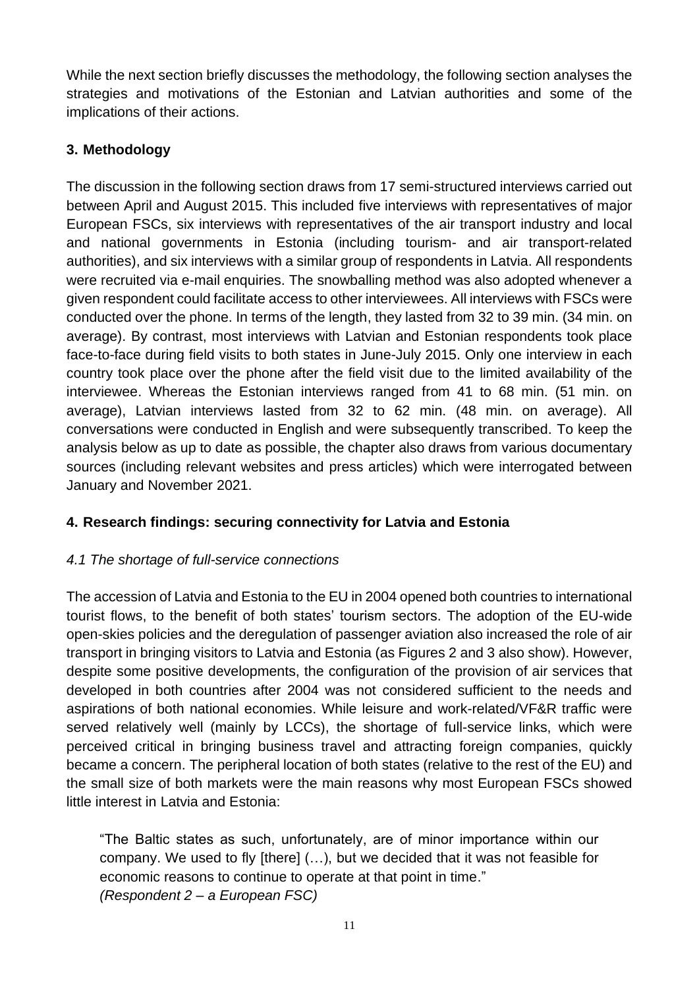While the next section briefly discusses the methodology, the following section analyses the strategies and motivations of the Estonian and Latvian authorities and some of the implications of their actions.

# **3. Methodology**

The discussion in the following section draws from 17 semi-structured interviews carried out between April and August 2015. This included five interviews with representatives of major European FSCs, six interviews with representatives of the air transport industry and local and national governments in Estonia (including tourism- and air transport-related authorities), and six interviews with a similar group of respondents in Latvia. All respondents were recruited via e-mail enquiries. The snowballing method was also adopted whenever a given respondent could facilitate access to other interviewees. All interviews with FSCs were conducted over the phone. In terms of the length, they lasted from 32 to 39 min. (34 min. on average). By contrast, most interviews with Latvian and Estonian respondents took place face-to-face during field visits to both states in June-July 2015. Only one interview in each country took place over the phone after the field visit due to the limited availability of the interviewee. Whereas the Estonian interviews ranged from 41 to 68 min. (51 min. on average), Latvian interviews lasted from 32 to 62 min. (48 min. on average). All conversations were conducted in English and were subsequently transcribed. To keep the analysis below as up to date as possible, the chapter also draws from various documentary sources (including relevant websites and press articles) which were interrogated between January and November 2021.

# **4. Research findings: securing connectivity for Latvia and Estonia**

#### *4.1 The shortage of full-service connections*

The accession of Latvia and Estonia to the EU in 2004 opened both countries to international tourist flows, to the benefit of both states' tourism sectors. The adoption of the EU-wide open-skies policies and the deregulation of passenger aviation also increased the role of air transport in bringing visitors to Latvia and Estonia (as Figures 2 and 3 also show). However, despite some positive developments, the configuration of the provision of air services that developed in both countries after 2004 was not considered sufficient to the needs and aspirations of both national economies. While leisure and work-related/VF&R traffic were served relatively well (mainly by LCCs), the shortage of full-service links, which were perceived critical in bringing business travel and attracting foreign companies, quickly became a concern. The peripheral location of both states (relative to the rest of the EU) and the small size of both markets were the main reasons why most European FSCs showed little interest in Latvia and Estonia:

"The Baltic states as such, unfortunately, are of minor importance within our company. We used to fly [there] (…), but we decided that it was not feasible for economic reasons to continue to operate at that point in time." *(Respondent 2 – a European FSC)*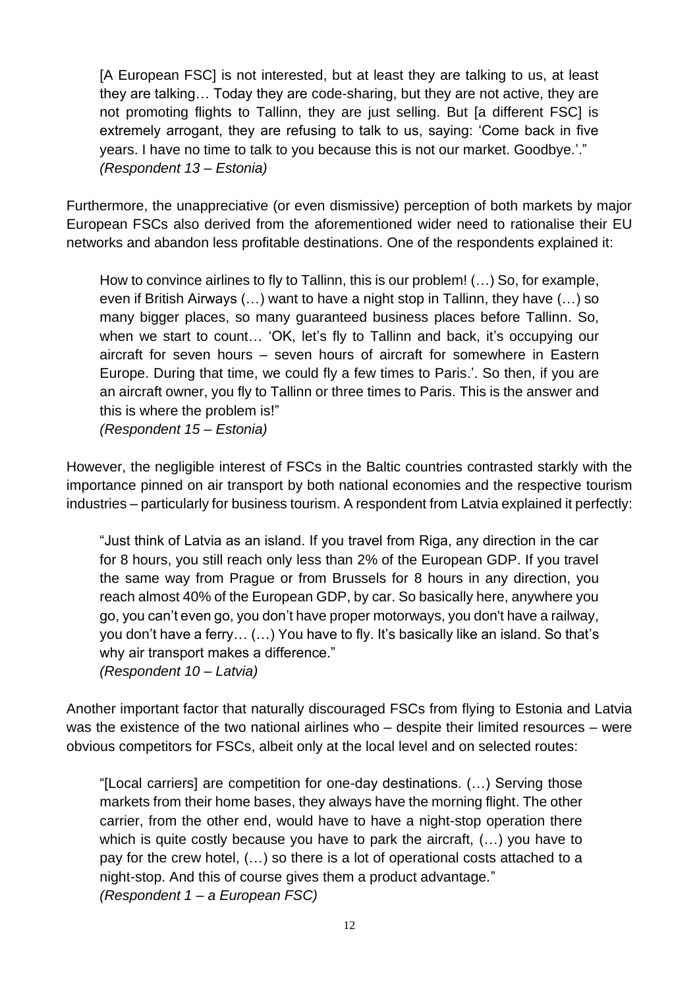[A European FSC] is not interested, but at least they are talking to us, at least they are talking… Today they are code-sharing, but they are not active, they are not promoting flights to Tallinn, they are just selling. But [a different FSC] is extremely arrogant, they are refusing to talk to us, saying: 'Come back in five years. I have no time to talk to you because this is not our market. Goodbye.'." *(Respondent 13 – Estonia)*

Furthermore, the unappreciative (or even dismissive) perception of both markets by major European FSCs also derived from the aforementioned wider need to rationalise their EU networks and abandon less profitable destinations. One of the respondents explained it:

How to convince airlines to fly to Tallinn, this is our problem! (…) So, for example, even if British Airways (…) want to have a night stop in Tallinn, they have (…) so many bigger places, so many guaranteed business places before Tallinn. So, when we start to count… 'OK, let's fly to Tallinn and back, it's occupying our aircraft for seven hours – seven hours of aircraft for somewhere in Eastern Europe. During that time, we could fly a few times to Paris.'. So then, if you are an aircraft owner, you fly to Tallinn or three times to Paris. This is the answer and this is where the problem is!"

*(Respondent 15 – Estonia)*

However, the negligible interest of FSCs in the Baltic countries contrasted starkly with the importance pinned on air transport by both national economies and the respective tourism industries – particularly for business tourism. A respondent from Latvia explained it perfectly:

"Just think of Latvia as an island. If you travel from Riga, any direction in the car for 8 hours, you still reach only less than 2% of the European GDP. If you travel the same way from Prague or from Brussels for 8 hours in any direction, you reach almost 40% of the European GDP, by car. So basically here, anywhere you go, you can't even go, you don't have proper motorways, you don't have a railway, you don't have a ferry… (…) You have to fly. It's basically like an island. So that's why air transport makes a difference." *(Respondent 10 – Latvia)*

Another important factor that naturally discouraged FSCs from flying to Estonia and Latvia was the existence of the two national airlines who – despite their limited resources – were obvious competitors for FSCs, albeit only at the local level and on selected routes:

"[Local carriers] are competition for one-day destinations. (…) Serving those markets from their home bases, they always have the morning flight. The other carrier, from the other end, would have to have a night-stop operation there which is quite costly because you have to park the aircraft, (…) you have to pay for the crew hotel, (…) so there is a lot of operational costs attached to a night-stop. And this of course gives them a product advantage." *(Respondent 1 – a European FSC)*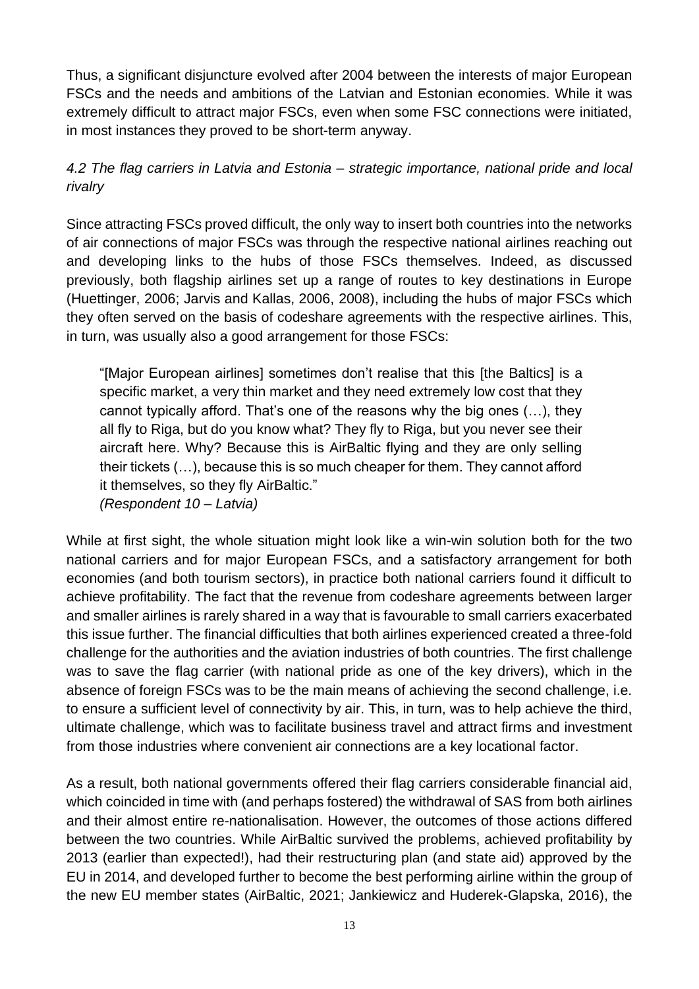Thus, a significant disjuncture evolved after 2004 between the interests of major European FSCs and the needs and ambitions of the Latvian and Estonian economies. While it was extremely difficult to attract major FSCs, even when some FSC connections were initiated, in most instances they proved to be short-term anyway.

# *4.2 The flag carriers in Latvia and Estonia – strategic importance, national pride and local rivalry*

Since attracting FSCs proved difficult, the only way to insert both countries into the networks of air connections of major FSCs was through the respective national airlines reaching out and developing links to the hubs of those FSCs themselves. Indeed, as discussed previously, both flagship airlines set up a range of routes to key destinations in Europe (Huettinger, 2006; Jarvis and Kallas, 2006, 2008), including the hubs of major FSCs which they often served on the basis of codeshare agreements with the respective airlines. This, in turn, was usually also a good arrangement for those FSCs:

"[Major European airlines] sometimes don't realise that this [the Baltics] is a specific market, a very thin market and they need extremely low cost that they cannot typically afford. That's one of the reasons why the big ones (…), they all fly to Riga, but do you know what? They fly to Riga, but you never see their aircraft here. Why? Because this is AirBaltic flying and they are only selling their tickets (…), because this is so much cheaper for them. They cannot afford it themselves, so they fly AirBaltic."

*(Respondent 10 – Latvia)*

While at first sight, the whole situation might look like a win-win solution both for the two national carriers and for major European FSCs, and a satisfactory arrangement for both economies (and both tourism sectors), in practice both national carriers found it difficult to achieve profitability. The fact that the revenue from codeshare agreements between larger and smaller airlines is rarely shared in a way that is favourable to small carriers exacerbated this issue further. The financial difficulties that both airlines experienced created a three-fold challenge for the authorities and the aviation industries of both countries. The first challenge was to save the flag carrier (with national pride as one of the key drivers), which in the absence of foreign FSCs was to be the main means of achieving the second challenge, i.e. to ensure a sufficient level of connectivity by air. This, in turn, was to help achieve the third, ultimate challenge, which was to facilitate business travel and attract firms and investment from those industries where convenient air connections are a key locational factor.

As a result, both national governments offered their flag carriers considerable financial aid, which coincided in time with (and perhaps fostered) the withdrawal of SAS from both airlines and their almost entire re-nationalisation. However, the outcomes of those actions differed between the two countries. While AirBaltic survived the problems, achieved profitability by 2013 (earlier than expected!), had their restructuring plan (and state aid) approved by the EU in 2014, and developed further to become the best performing airline within the group of the new EU member states (AirBaltic, 2021; Jankiewicz and Huderek-Glapska, 2016), the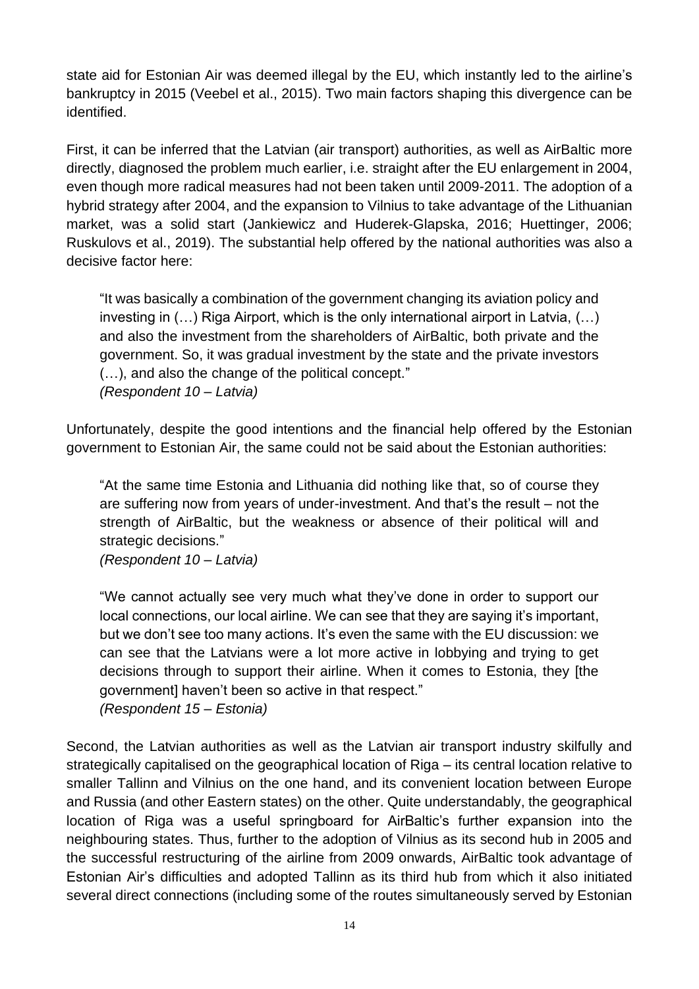state aid for Estonian Air was deemed illegal by the EU, which instantly led to the airline's bankruptcy in 2015 (Veebel et al., 2015). Two main factors shaping this divergence can be identified.

First, it can be inferred that the Latvian (air transport) authorities, as well as AirBaltic more directly, diagnosed the problem much earlier, i.e. straight after the EU enlargement in 2004, even though more radical measures had not been taken until 2009-2011. The adoption of a hybrid strategy after 2004, and the expansion to Vilnius to take advantage of the Lithuanian market, was a solid start (Jankiewicz and Huderek-Glapska, 2016; Huettinger, 2006; Ruskulovs et al., 2019). The substantial help offered by the national authorities was also a decisive factor here:

"It was basically a combination of the government changing its aviation policy and investing in (…) Riga Airport, which is the only international airport in Latvia, (…) and also the investment from the shareholders of AirBaltic, both private and the government. So, it was gradual investment by the state and the private investors (…), and also the change of the political concept." *(Respondent 10 – Latvia)*

Unfortunately, despite the good intentions and the financial help offered by the Estonian government to Estonian Air, the same could not be said about the Estonian authorities:

"At the same time Estonia and Lithuania did nothing like that, so of course they are suffering now from years of under-investment. And that's the result – not the strength of AirBaltic, but the weakness or absence of their political will and strategic decisions."

*(Respondent 10 – Latvia)*

"We cannot actually see very much what they've done in order to support our local connections, our local airline. We can see that they are saying it's important, but we don't see too many actions. It's even the same with the EU discussion: we can see that the Latvians were a lot more active in lobbying and trying to get decisions through to support their airline. When it comes to Estonia, they [the government] haven't been so active in that respect." *(Respondent 15 – Estonia)*

Second, the Latvian authorities as well as the Latvian air transport industry skilfully and strategically capitalised on the geographical location of Riga – its central location relative to smaller Tallinn and Vilnius on the one hand, and its convenient location between Europe and Russia (and other Eastern states) on the other. Quite understandably, the geographical location of Riga was a useful springboard for AirBaltic's further expansion into the neighbouring states. Thus, further to the adoption of Vilnius as its second hub in 2005 and the successful restructuring of the airline from 2009 onwards, AirBaltic took advantage of Estonian Air's difficulties and adopted Tallinn as its third hub from which it also initiated several direct connections (including some of the routes simultaneously served by Estonian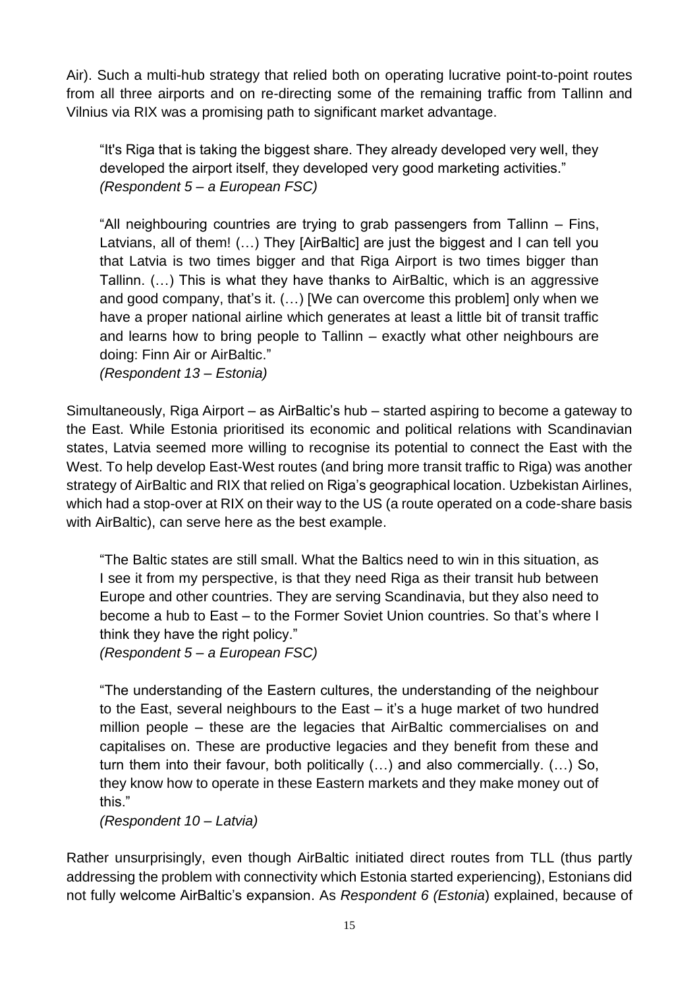Air). Such a multi-hub strategy that relied both on operating lucrative point-to-point routes from all three airports and on re-directing some of the remaining traffic from Tallinn and Vilnius via RIX was a promising path to significant market advantage.

"It's Riga that is taking the biggest share. They already developed very well, they developed the airport itself, they developed very good marketing activities." *(Respondent 5 – a European FSC)*

"All neighbouring countries are trying to grab passengers from Tallinn – Fins, Latvians, all of them! (...) They [AirBaltic] are just the biggest and I can tell you that Latvia is two times bigger and that Riga Airport is two times bigger than Tallinn. (…) This is what they have thanks to AirBaltic, which is an aggressive and good company, that's it. (…) [We can overcome this problem] only when we have a proper national airline which generates at least a little bit of transit traffic and learns how to bring people to Tallinn – exactly what other neighbours are doing: Finn Air or AirBaltic."

*(Respondent 13 – Estonia)*

Simultaneously, Riga Airport – as AirBaltic's hub – started aspiring to become a gateway to the East. While Estonia prioritised its economic and political relations with Scandinavian states, Latvia seemed more willing to recognise its potential to connect the East with the West. To help develop East-West routes (and bring more transit traffic to Riga) was another strategy of AirBaltic and RIX that relied on Riga's geographical location. Uzbekistan Airlines, which had a stop-over at RIX on their way to the US (a route operated on a code-share basis with AirBaltic), can serve here as the best example.

"The Baltic states are still small. What the Baltics need to win in this situation, as I see it from my perspective, is that they need Riga as their transit hub between Europe and other countries. They are serving Scandinavia, but they also need to become a hub to East – to the Former Soviet Union countries. So that's where I think they have the right policy."

*(Respondent 5 – a European FSC)*

"The understanding of the Eastern cultures, the understanding of the neighbour to the East, several neighbours to the East – it's a huge market of two hundred million people – these are the legacies that AirBaltic commercialises on and capitalises on. These are productive legacies and they benefit from these and turn them into their favour, both politically (…) and also commercially. (…) So, they know how to operate in these Eastern markets and they make money out of this."

*(Respondent 10 – Latvia)*

Rather unsurprisingly, even though AirBaltic initiated direct routes from TLL (thus partly addressing the problem with connectivity which Estonia started experiencing), Estonians did not fully welcome AirBaltic's expansion. As *Respondent 6 (Estonia*) explained, because of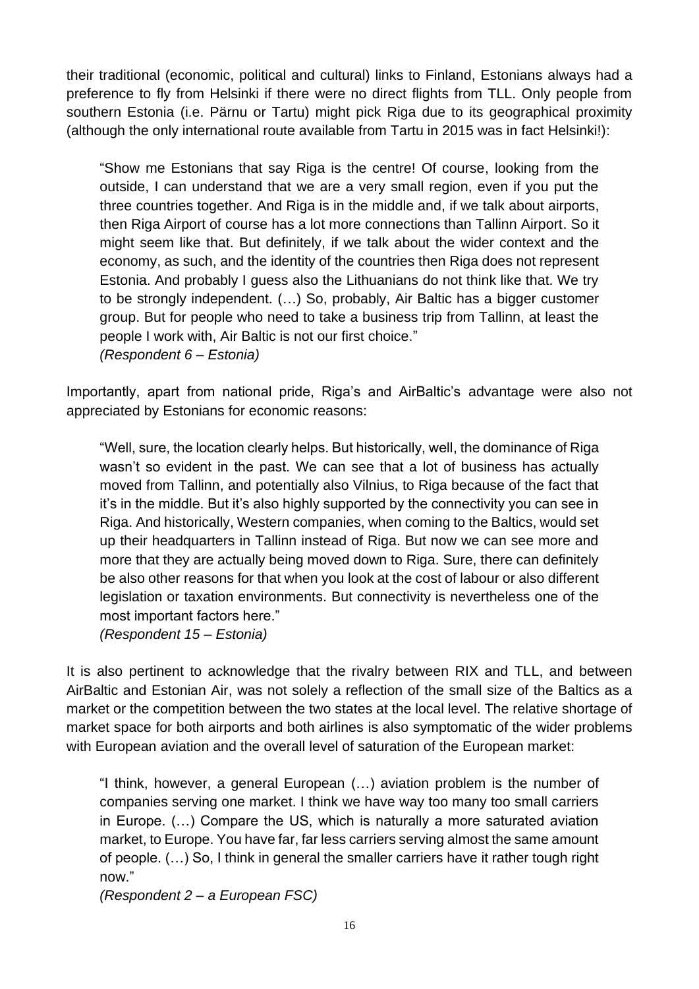their traditional (economic, political and cultural) links to Finland, Estonians always had a preference to fly from Helsinki if there were no direct flights from TLL. Only people from southern Estonia (i.e. Pärnu or Tartu) might pick Riga due to its geographical proximity (although the only international route available from Tartu in 2015 was in fact Helsinki!):

"Show me Estonians that say Riga is the centre! Of course, looking from the outside, I can understand that we are a very small region, even if you put the three countries together. And Riga is in the middle and, if we talk about airports, then Riga Airport of course has a lot more connections than Tallinn Airport. So it might seem like that. But definitely, if we talk about the wider context and the economy, as such, and the identity of the countries then Riga does not represent Estonia. And probably I guess also the Lithuanians do not think like that. We try to be strongly independent. (…) So, probably, Air Baltic has a bigger customer group. But for people who need to take a business trip from Tallinn, at least the people I work with, Air Baltic is not our first choice." *(Respondent 6 – Estonia)*

Importantly, apart from national pride, Riga's and AirBaltic's advantage were also not appreciated by Estonians for economic reasons:

"Well, sure, the location clearly helps. But historically, well, the dominance of Riga wasn't so evident in the past. We can see that a lot of business has actually moved from Tallinn, and potentially also Vilnius, to Riga because of the fact that it's in the middle. But it's also highly supported by the connectivity you can see in Riga. And historically, Western companies, when coming to the Baltics, would set up their headquarters in Tallinn instead of Riga. But now we can see more and more that they are actually being moved down to Riga. Sure, there can definitely be also other reasons for that when you look at the cost of labour or also different legislation or taxation environments. But connectivity is nevertheless one of the most important factors here."

*(Respondent 15 – Estonia)*

It is also pertinent to acknowledge that the rivalry between RIX and TLL, and between AirBaltic and Estonian Air, was not solely a reflection of the small size of the Baltics as a market or the competition between the two states at the local level. The relative shortage of market space for both airports and both airlines is also symptomatic of the wider problems with European aviation and the overall level of saturation of the European market:

"I think, however, a general European (…) aviation problem is the number of companies serving one market. I think we have way too many too small carriers in Europe. (…) Compare the US, which is naturally a more saturated aviation market, to Europe. You have far, far less carriers serving almost the same amount of people. (…) So, I think in general the smaller carriers have it rather tough right now."

*(Respondent 2 – a European FSC)*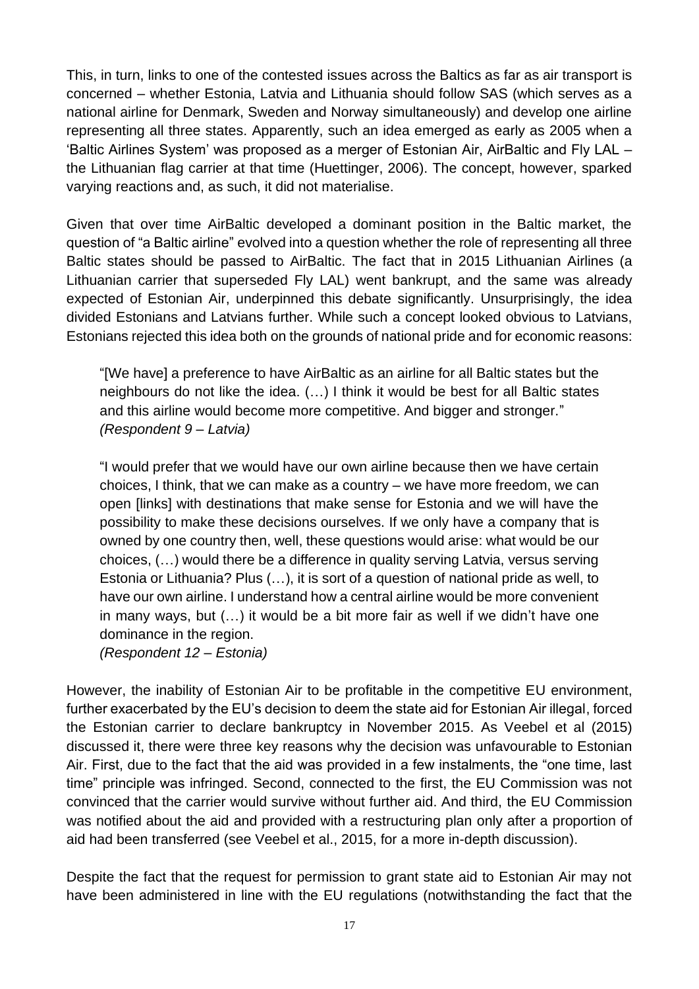This, in turn, links to one of the contested issues across the Baltics as far as air transport is concerned – whether Estonia, Latvia and Lithuania should follow SAS (which serves as a national airline for Denmark, Sweden and Norway simultaneously) and develop one airline representing all three states. Apparently, such an idea emerged as early as 2005 when a 'Baltic Airlines System' was proposed as a merger of Estonian Air, AirBaltic and Fly LAL – the Lithuanian flag carrier at that time (Huettinger, 2006). The concept, however, sparked varying reactions and, as such, it did not materialise.

Given that over time AirBaltic developed a dominant position in the Baltic market, the question of "a Baltic airline" evolved into a question whether the role of representing all three Baltic states should be passed to AirBaltic. The fact that in 2015 Lithuanian Airlines (a Lithuanian carrier that superseded Fly LAL) went bankrupt, and the same was already expected of Estonian Air, underpinned this debate significantly. Unsurprisingly, the idea divided Estonians and Latvians further. While such a concept looked obvious to Latvians, Estonians rejected this idea both on the grounds of national pride and for economic reasons:

"[We have] a preference to have AirBaltic as an airline for all Baltic states but the neighbours do not like the idea. (…) I think it would be best for all Baltic states and this airline would become more competitive. And bigger and stronger." *(Respondent 9 – Latvia)*

"I would prefer that we would have our own airline because then we have certain choices, I think, that we can make as a country – we have more freedom, we can open [links] with destinations that make sense for Estonia and we will have the possibility to make these decisions ourselves. If we only have a company that is owned by one country then, well, these questions would arise: what would be our choices, (…) would there be a difference in quality serving Latvia, versus serving Estonia or Lithuania? Plus (…), it is sort of a question of national pride as well, to have our own airline. I understand how a central airline would be more convenient in many ways, but (…) it would be a bit more fair as well if we didn't have one dominance in the region.

*(Respondent 12 – Estonia)*

However, the inability of Estonian Air to be profitable in the competitive EU environment, further exacerbated by the EU's decision to deem the state aid for Estonian Air illegal, forced the Estonian carrier to declare bankruptcy in November 2015. As Veebel et al (2015) discussed it, there were three key reasons why the decision was unfavourable to Estonian Air. First, due to the fact that the aid was provided in a few instalments, the "one time, last time" principle was infringed. Second, connected to the first, the EU Commission was not convinced that the carrier would survive without further aid. And third, the EU Commission was notified about the aid and provided with a restructuring plan only after a proportion of aid had been transferred (see Veebel et al., 2015, for a more in-depth discussion).

Despite the fact that the request for permission to grant state aid to Estonian Air may not have been administered in line with the EU regulations (notwithstanding the fact that the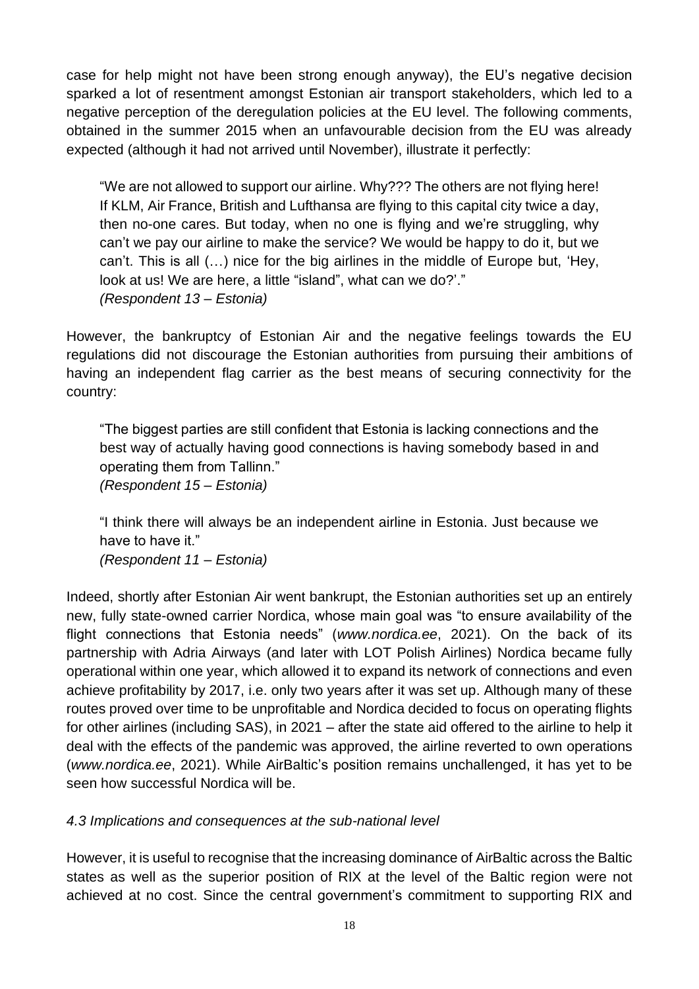case for help might not have been strong enough anyway), the EU's negative decision sparked a lot of resentment amongst Estonian air transport stakeholders, which led to a negative perception of the deregulation policies at the EU level. The following comments, obtained in the summer 2015 when an unfavourable decision from the EU was already expected (although it had not arrived until November), illustrate it perfectly:

"We are not allowed to support our airline. Why??? The others are not flying here! If KLM, Air France, British and Lufthansa are flying to this capital city twice a day, then no-one cares. But today, when no one is flying and we're struggling, why can't we pay our airline to make the service? We would be happy to do it, but we can't. This is all (…) nice for the big airlines in the middle of Europe but, 'Hey, look at us! We are here, a little "island", what can we do?'." *(Respondent 13 – Estonia)*

However, the bankruptcy of Estonian Air and the negative feelings towards the EU regulations did not discourage the Estonian authorities from pursuing their ambitions of having an independent flag carrier as the best means of securing connectivity for the country:

"The biggest parties are still confident that Estonia is lacking connections and the best way of actually having good connections is having somebody based in and operating them from Tallinn." *(Respondent 15 – Estonia)*

"I think there will always be an independent airline in Estonia. Just because we have to have it." *(Respondent 11 – Estonia)*

Indeed, shortly after Estonian Air went bankrupt, the Estonian authorities set up an entirely new, fully state-owned carrier Nordica, whose main goal was "to ensure availability of the flight connections that Estonia needs" (*www.nordica.ee*, 2021). On the back of its partnership with Adria Airways (and later with LOT Polish Airlines) Nordica became fully operational within one year, which allowed it to expand its network of connections and even achieve profitability by 2017, i.e. only two years after it was set up. Although many of these routes proved over time to be unprofitable and Nordica decided to focus on operating flights for other airlines (including SAS), in 2021 – after the state aid offered to the airline to help it deal with the effects of the pandemic was approved, the airline reverted to own operations (*www.nordica.ee*, 2021). While AirBaltic's position remains unchallenged, it has yet to be seen how successful Nordica will be.

# *4.3 Implications and consequences at the sub-national level*

However, it is useful to recognise that the increasing dominance of AirBaltic across the Baltic states as well as the superior position of RIX at the level of the Baltic region were not achieved at no cost. Since the central government's commitment to supporting RIX and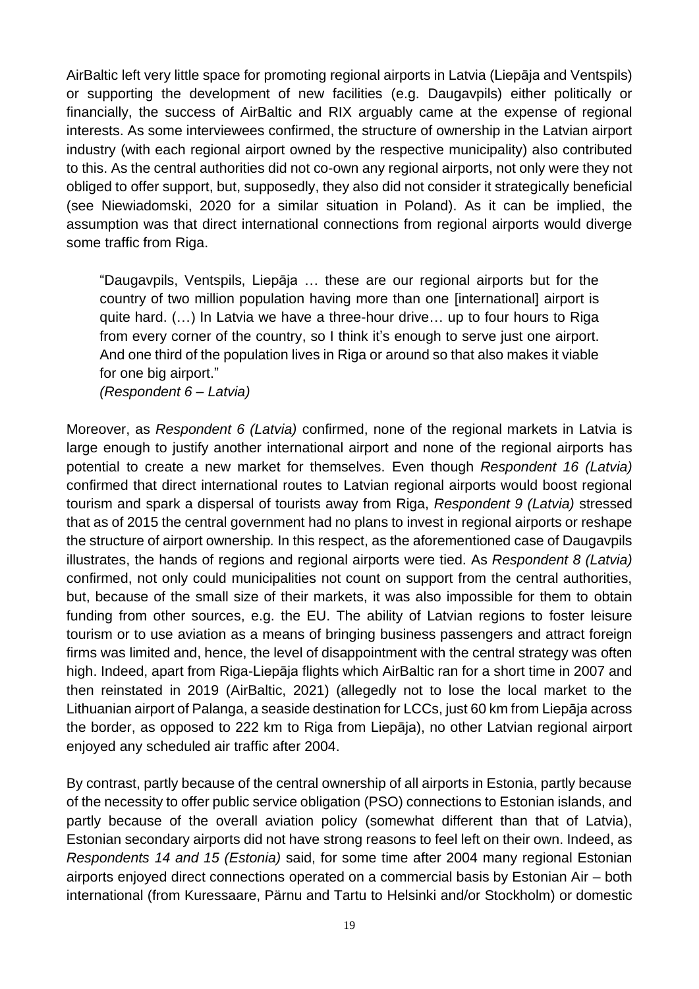AirBaltic left very little space for promoting regional airports in Latvia (Liepāja and Ventspils) or supporting the development of new facilities (e.g. Daugavpils) either politically or financially, the success of AirBaltic and RIX arguably came at the expense of regional interests. As some interviewees confirmed, the structure of ownership in the Latvian airport industry (with each regional airport owned by the respective municipality) also contributed to this. As the central authorities did not co-own any regional airports, not only were they not obliged to offer support, but, supposedly, they also did not consider it strategically beneficial (see Niewiadomski, 2020 for a similar situation in Poland). As it can be implied, the assumption was that direct international connections from regional airports would diverge some traffic from Riga.

"Daugavpils, Ventspils, Liepāja … these are our regional airports but for the country of two million population having more than one [international] airport is quite hard. (…) In Latvia we have a three-hour drive… up to four hours to Riga from every corner of the country, so I think it's enough to serve just one airport. And one third of the population lives in Riga or around so that also makes it viable for one big airport."

*(Respondent 6 – Latvia)*

Moreover, as *Respondent 6 (Latvia)* confirmed, none of the regional markets in Latvia is large enough to justify another international airport and none of the regional airports has potential to create a new market for themselves. Even though *Respondent 16 (Latvia)* confirmed that direct international routes to Latvian regional airports would boost regional tourism and spark a dispersal of tourists away from Riga, *Respondent 9 (Latvia)* stressed that as of 2015 the central government had no plans to invest in regional airports or reshape the structure of airport ownership*.* In this respect, as the aforementioned case of Daugavpils illustrates, the hands of regions and regional airports were tied. As *Respondent 8 (Latvia)* confirmed, not only could municipalities not count on support from the central authorities, but, because of the small size of their markets, it was also impossible for them to obtain funding from other sources, e.g. the EU. The ability of Latvian regions to foster leisure tourism or to use aviation as a means of bringing business passengers and attract foreign firms was limited and, hence, the level of disappointment with the central strategy was often high. Indeed, apart from Riga-Liepāja flights which AirBaltic ran for a short time in 2007 and then reinstated in 2019 (AirBaltic, 2021) (allegedly not to lose the local market to the Lithuanian airport of Palanga, a seaside destination for LCCs, just 60 km from Liepāja across the border, as opposed to 222 km to Riga from Liepāja), no other Latvian regional airport enjoyed any scheduled air traffic after 2004.

By contrast, partly because of the central ownership of all airports in Estonia, partly because of the necessity to offer public service obligation (PSO) connections to Estonian islands, and partly because of the overall aviation policy (somewhat different than that of Latvia), Estonian secondary airports did not have strong reasons to feel left on their own. Indeed, as *Respondents 14 and 15 (Estonia)* said, for some time after 2004 many regional Estonian airports enjoyed direct connections operated on a commercial basis by Estonian Air – both international (from Kuressaare, Pärnu and Tartu to Helsinki and/or Stockholm) or domestic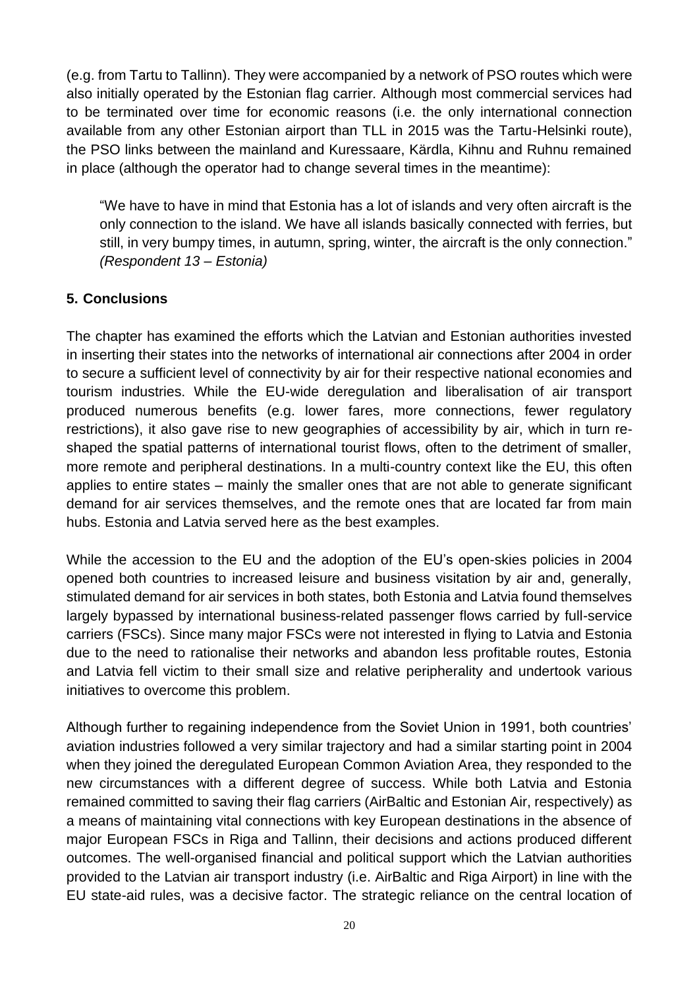(e.g. from Tartu to Tallinn). They were accompanied by a network of PSO routes which were also initially operated by the Estonian flag carrier*.* Although most commercial services had to be terminated over time for economic reasons (i.e. the only international connection available from any other Estonian airport than TLL in 2015 was the Tartu-Helsinki route), the PSO links between the mainland and Kuressaare, Kärdla, Kihnu and Ruhnu remained in place (although the operator had to change several times in the meantime):

"We have to have in mind that Estonia has a lot of islands and very often aircraft is the only connection to the island. We have all islands basically connected with ferries, but still, in very bumpy times, in autumn, spring, winter, the aircraft is the only connection." *(Respondent 13 – Estonia)*

### **5. Conclusions**

The chapter has examined the efforts which the Latvian and Estonian authorities invested in inserting their states into the networks of international air connections after 2004 in order to secure a sufficient level of connectivity by air for their respective national economies and tourism industries. While the EU-wide deregulation and liberalisation of air transport produced numerous benefits (e.g. lower fares, more connections, fewer regulatory restrictions), it also gave rise to new geographies of accessibility by air, which in turn reshaped the spatial patterns of international tourist flows, often to the detriment of smaller, more remote and peripheral destinations. In a multi-country context like the EU, this often applies to entire states – mainly the smaller ones that are not able to generate significant demand for air services themselves, and the remote ones that are located far from main hubs. Estonia and Latvia served here as the best examples.

While the accession to the EU and the adoption of the EU's open-skies policies in 2004 opened both countries to increased leisure and business visitation by air and, generally, stimulated demand for air services in both states, both Estonia and Latvia found themselves largely bypassed by international business-related passenger flows carried by full-service carriers (FSCs). Since many major FSCs were not interested in flying to Latvia and Estonia due to the need to rationalise their networks and abandon less profitable routes, Estonia and Latvia fell victim to their small size and relative peripherality and undertook various initiatives to overcome this problem.

Although further to regaining independence from the Soviet Union in 1991, both countries' aviation industries followed a very similar trajectory and had a similar starting point in 2004 when they joined the deregulated European Common Aviation Area, they responded to the new circumstances with a different degree of success. While both Latvia and Estonia remained committed to saving their flag carriers (AirBaltic and Estonian Air, respectively) as a means of maintaining vital connections with key European destinations in the absence of major European FSCs in Riga and Tallinn, their decisions and actions produced different outcomes. The well-organised financial and political support which the Latvian authorities provided to the Latvian air transport industry (i.e. AirBaltic and Riga Airport) in line with the EU state-aid rules, was a decisive factor. The strategic reliance on the central location of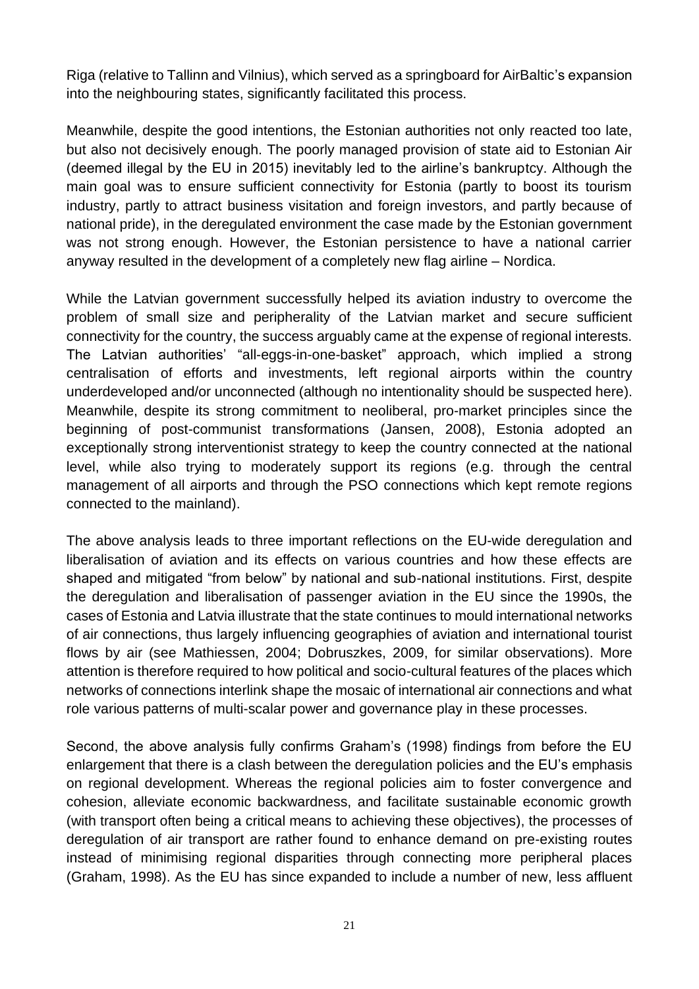Riga (relative to Tallinn and Vilnius), which served as a springboard for AirBaltic's expansion into the neighbouring states, significantly facilitated this process.

Meanwhile, despite the good intentions, the Estonian authorities not only reacted too late, but also not decisively enough. The poorly managed provision of state aid to Estonian Air (deemed illegal by the EU in 2015) inevitably led to the airline's bankruptcy. Although the main goal was to ensure sufficient connectivity for Estonia (partly to boost its tourism industry, partly to attract business visitation and foreign investors, and partly because of national pride), in the deregulated environment the case made by the Estonian government was not strong enough. However, the Estonian persistence to have a national carrier anyway resulted in the development of a completely new flag airline – Nordica.

While the Latvian government successfully helped its aviation industry to overcome the problem of small size and peripherality of the Latvian market and secure sufficient connectivity for the country, the success arguably came at the expense of regional interests. The Latvian authorities' "all-eggs-in-one-basket" approach, which implied a strong centralisation of efforts and investments, left regional airports within the country underdeveloped and/or unconnected (although no intentionality should be suspected here). Meanwhile, despite its strong commitment to neoliberal, pro-market principles since the beginning of post-communist transformations (Jansen, 2008), Estonia adopted an exceptionally strong interventionist strategy to keep the country connected at the national level, while also trying to moderately support its regions (e.g. through the central management of all airports and through the PSO connections which kept remote regions connected to the mainland).

The above analysis leads to three important reflections on the EU-wide deregulation and liberalisation of aviation and its effects on various countries and how these effects are shaped and mitigated "from below" by national and sub-national institutions. First, despite the deregulation and liberalisation of passenger aviation in the EU since the 1990s, the cases of Estonia and Latvia illustrate that the state continues to mould international networks of air connections, thus largely influencing geographies of aviation and international tourist flows by air (see Mathiessen, 2004; Dobruszkes, 2009, for similar observations). More attention is therefore required to how political and socio-cultural features of the places which networks of connections interlink shape the mosaic of international air connections and what role various patterns of multi-scalar power and governance play in these processes.

Second, the above analysis fully confirms Graham's (1998) findings from before the EU enlargement that there is a clash between the deregulation policies and the EU's emphasis on regional development. Whereas the regional policies aim to foster convergence and cohesion, alleviate economic backwardness, and facilitate sustainable economic growth (with transport often being a critical means to achieving these objectives), the processes of deregulation of air transport are rather found to enhance demand on pre-existing routes instead of minimising regional disparities through connecting more peripheral places (Graham, 1998). As the EU has since expanded to include a number of new, less affluent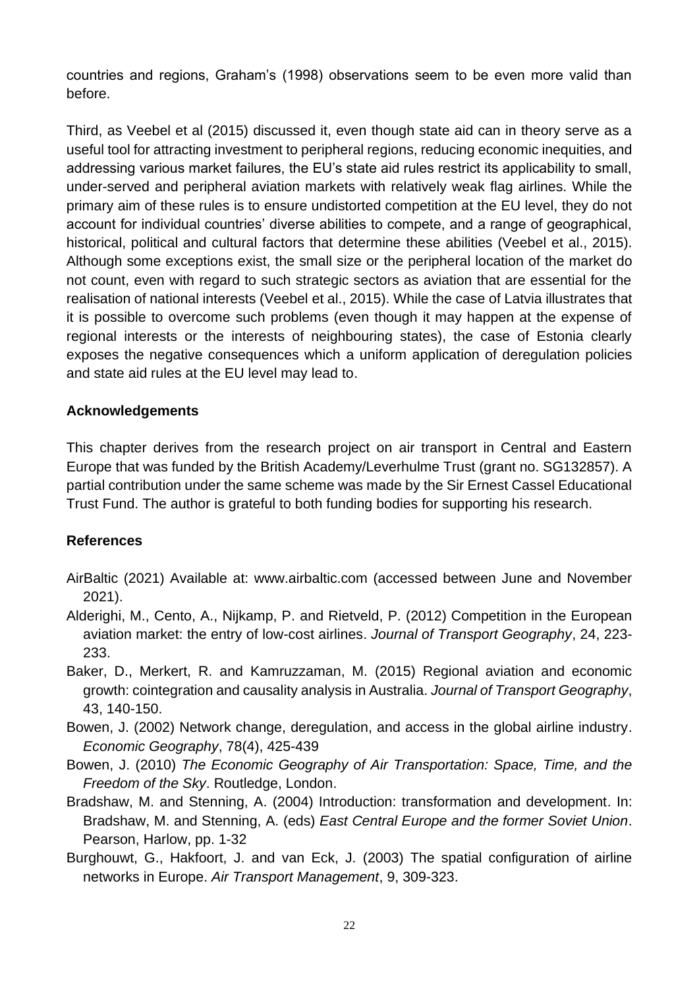countries and regions, Graham's (1998) observations seem to be even more valid than before.

Third, as Veebel et al (2015) discussed it, even though state aid can in theory serve as a useful tool for attracting investment to peripheral regions, reducing economic inequities, and addressing various market failures, the EU's state aid rules restrict its applicability to small, under-served and peripheral aviation markets with relatively weak flag airlines. While the primary aim of these rules is to ensure undistorted competition at the EU level, they do not account for individual countries' diverse abilities to compete, and a range of geographical, historical, political and cultural factors that determine these abilities (Veebel et al., 2015). Although some exceptions exist, the small size or the peripheral location of the market do not count, even with regard to such strategic sectors as aviation that are essential for the realisation of national interests (Veebel et al., 2015). While the case of Latvia illustrates that it is possible to overcome such problems (even though it may happen at the expense of regional interests or the interests of neighbouring states), the case of Estonia clearly exposes the negative consequences which a uniform application of deregulation policies and state aid rules at the EU level may lead to.

#### **Acknowledgements**

This chapter derives from the research project on air transport in Central and Eastern Europe that was funded by the British Academy/Leverhulme Trust (grant no. SG132857). A partial contribution under the same scheme was made by the Sir Ernest Cassel Educational Trust Fund. The author is grateful to both funding bodies for supporting his research.

#### **References**

- AirBaltic (2021) Available at: www.airbaltic.com (accessed between June and November 2021).
- Alderighi, M., Cento, A., Nijkamp, P. and Rietveld, P. (2012) Competition in the European aviation market: the entry of low-cost airlines. *Journal of Transport Geography*, 24, 223- 233.
- Baker, D., Merkert, R. and Kamruzzaman, M. (2015) Regional aviation and economic growth: cointegration and causality analysis in Australia. *Journal of Transport Geography*, 43, 140-150.
- Bowen, J. (2002) Network change, deregulation, and access in the global airline industry. *Economic Geography*, 78(4), 425-439
- Bowen, J. (2010) *The Economic Geography of Air Transportation: Space, Time, and the Freedom of the Sky*. Routledge, London.
- Bradshaw, M. and Stenning, A. (2004) Introduction: transformation and development. In: Bradshaw, M. and Stenning, A. (eds) *East Central Europe and the former Soviet Union*. Pearson, Harlow, pp. 1-32
- Burghouwt, G., Hakfoort, J. and van Eck, J. (2003) The spatial configuration of airline networks in Europe. *Air Transport Management*, 9, 309-323.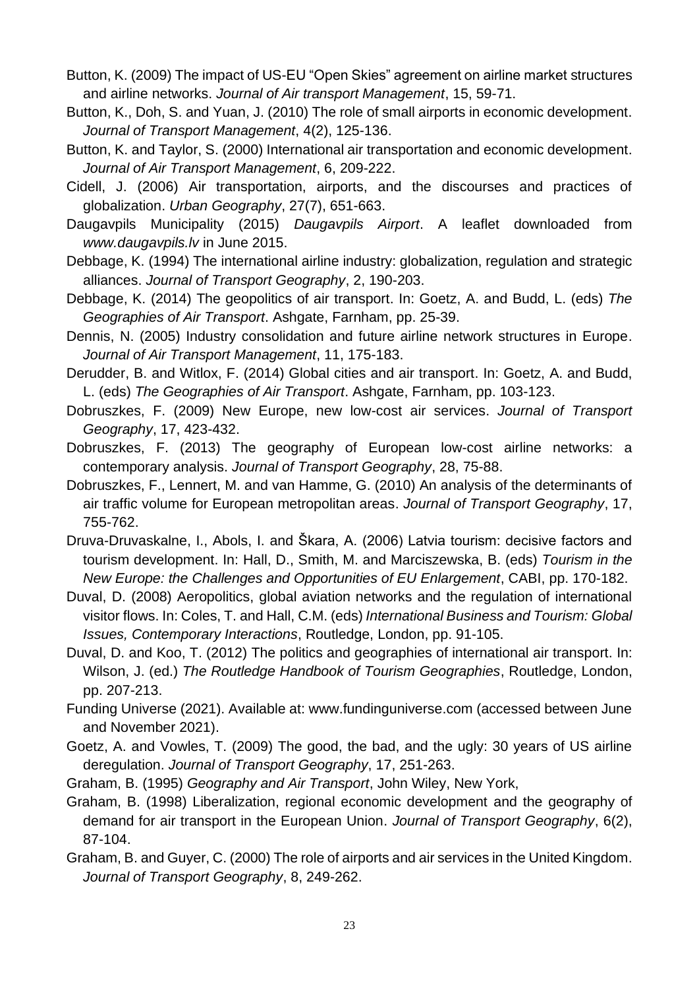- Button, K. (2009) The impact of US-EU "Open Skies" agreement on airline market structures and airline networks. *Journal of Air transport Management*, 15, 59-71.
- Button, K., Doh, S. and Yuan, J. (2010) The role of small airports in economic development. *Journal of Transport Management*, 4(2), 125-136.
- Button, K. and Taylor, S. (2000) International air transportation and economic development. *Journal of Air Transport Management*, 6, 209-222.
- Cidell, J. (2006) Air transportation, airports, and the discourses and practices of globalization. *Urban Geography*, 27(7), 651-663.
- Daugavpils Municipality (2015) *Daugavpils Airport*. A leaflet downloaded from *www.daugavpils.lv* in June 2015.
- Debbage, K. (1994) The international airline industry: globalization, regulation and strategic alliances. *Journal of Transport Geography*, 2, 190-203.
- Debbage, K. (2014) The geopolitics of air transport. In: Goetz, A. and Budd, L. (eds) *The Geographies of Air Transport*. Ashgate, Farnham, pp. 25-39.
- Dennis, N. (2005) Industry consolidation and future airline network structures in Europe. *Journal of Air Transport Management*, 11, 175-183.
- Derudder, B. and Witlox, F. (2014) Global cities and air transport. In: Goetz, A. and Budd, L. (eds) *The Geographies of Air Transport*. Ashgate, Farnham, pp. 103-123.
- Dobruszkes, F. (2009) New Europe, new low-cost air services. *Journal of Transport Geography*, 17, 423-432.
- Dobruszkes, F. (2013) The geography of European low-cost airline networks: a contemporary analysis. *Journal of Transport Geography*, 28, 75-88.
- Dobruszkes, F., Lennert, M. and van Hamme, G. (2010) An analysis of the determinants of air traffic volume for European metropolitan areas. *Journal of Transport Geography*, 17, 755-762.
- Druva-Druvaskalne, I., Abols, I. and Škara, A. (2006) Latvia tourism: decisive factors and tourism development. In: Hall, D., Smith, M. and Marciszewska, B. (eds) *Tourism in the New Europe: the Challenges and Opportunities of EU Enlargement*, CABI, pp. 170-182.
- Duval, D. (2008) Aeropolitics, global aviation networks and the regulation of international visitor flows. In: Coles, T. and Hall, C.M. (eds) *International Business and Tourism: Global Issues, Contemporary Interactions*, Routledge, London, pp. 91-105.
- Duval, D. and Koo, T. (2012) The politics and geographies of international air transport. In: Wilson, J. (ed.) *The Routledge Handbook of Tourism Geographies*, Routledge, London, pp. 207-213.
- Funding Universe (2021). Available at: www.fundinguniverse.com (accessed between June and November 2021).
- Goetz, A. and Vowles, T. (2009) The good, the bad, and the ugly: 30 years of US airline deregulation. *Journal of Transport Geography*, 17, 251-263.
- Graham, B. (1995) *Geography and Air Transport*, John Wiley, New York,
- Graham, B. (1998) Liberalization, regional economic development and the geography of demand for air transport in the European Union. *Journal of Transport Geography*, 6(2), 87-104.
- Graham, B. and Guyer, C. (2000) The role of airports and air services in the United Kingdom. *Journal of Transport Geography*, 8, 249-262.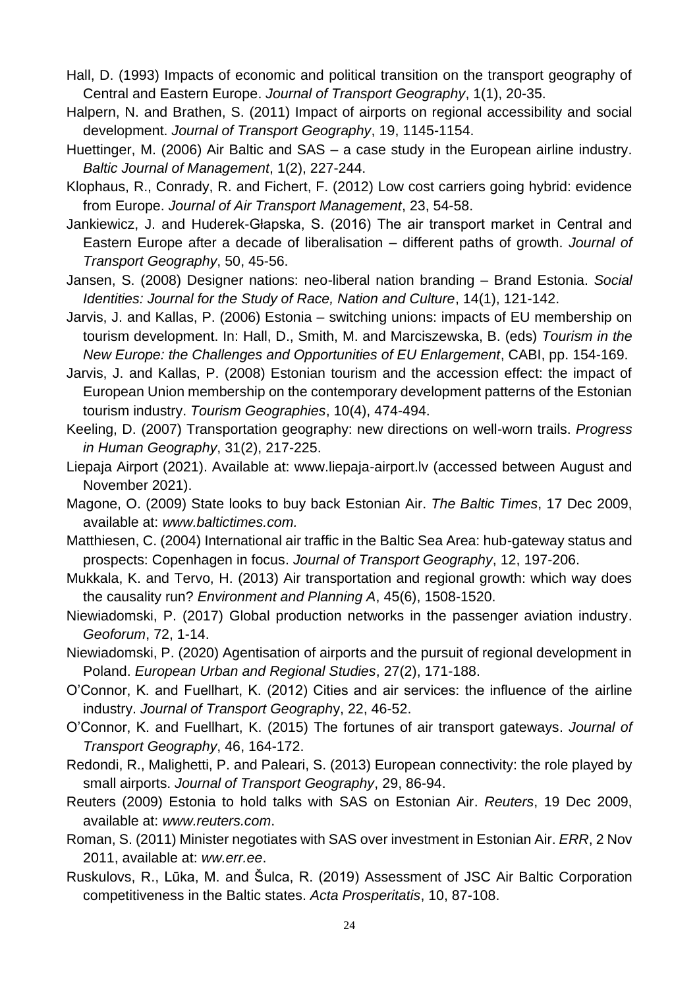- Hall, D. (1993) Impacts of economic and political transition on the transport geography of Central and Eastern Europe. *Journal of Transport Geography*, 1(1), 20-35.
- Halpern, N. and Brathen, S. (2011) Impact of airports on regional accessibility and social development. *Journal of Transport Geography*, 19, 1145-1154.
- Huettinger, M. (2006) Air Baltic and SAS a case study in the European airline industry. *Baltic Journal of Management*, 1(2), 227-244.
- Klophaus, R., Conrady, R. and Fichert, F. (2012) Low cost carriers going hybrid: evidence from Europe. *Journal of Air Transport Management*, 23, 54-58.
- Jankiewicz, J. and Huderek-Głapska, S. (2016) The air transport market in Central and Eastern Europe after a decade of liberalisation – different paths of growth. *Journal of Transport Geography*, 50, 45-56.
- Jansen, S. (2008) Designer nations: neo-liberal nation branding Brand Estonia. *Social Identities: Journal for the Study of Race, Nation and Culture*, 14(1), 121-142.
- Jarvis, J. and Kallas, P. (2006) Estonia switching unions: impacts of EU membership on tourism development. In: Hall, D., Smith, M. and Marciszewska, B. (eds) *Tourism in the New Europe: the Challenges and Opportunities of EU Enlargement*, CABI, pp. 154-169.
- Jarvis, J. and Kallas, P. (2008) Estonian tourism and the accession effect: the impact of European Union membership on the contemporary development patterns of the Estonian tourism industry. *Tourism Geographies*, 10(4), 474-494.
- Keeling, D. (2007) Transportation geography: new directions on well-worn trails. *Progress in Human Geography*, 31(2), 217-225.
- Liepaja Airport (2021). Available at: www.liepaja-airport.lv (accessed between August and November 2021).
- Magone, O. (2009) State looks to buy back Estonian Air. *The Baltic Times*, 17 Dec 2009, available at: *www.baltictimes.com.*
- Matthiesen, C. (2004) International air traffic in the Baltic Sea Area: hub-gateway status and prospects: Copenhagen in focus. *Journal of Transport Geography*, 12, 197-206.
- Mukkala, K. and Tervo, H. (2013) Air transportation and regional growth: which way does the causality run? *Environment and Planning A*, 45(6), 1508-1520.
- Niewiadomski, P. (2017) Global production networks in the passenger aviation industry. *Geoforum*, 72, 1-14.
- Niewiadomski, P. (2020) Agentisation of airports and the pursuit of regional development in Poland. *European Urban and Regional Studies*, 27(2), 171-188.
- O'Connor, K. and Fuellhart, K. (2012) Cities and air services: the influence of the airline industry. *Journal of Transport Geograph*y, 22, 46-52.
- O'Connor, K. and Fuellhart, K. (2015) The fortunes of air transport gateways. *Journal of Transport Geography*, 46, 164-172.
- Redondi, R., Malighetti, P. and Paleari, S. (2013) European connectivity: the role played by small airports. *Journal of Transport Geography*, 29, 86-94.
- Reuters (2009) Estonia to hold talks with SAS on Estonian Air. *Reuters*, 19 Dec 2009, available at: *www.reuters.com*.
- Roman, S. (2011) Minister negotiates with SAS over investment in Estonian Air. *ERR*, 2 Nov 2011, available at: *ww.err.ee*.
- Ruskulovs, R., Lūka, M. and Šulca, R. (2019) Assessment of JSC Air Baltic Corporation competitiveness in the Baltic states. *Acta Prosperitatis*, 10, 87-108.